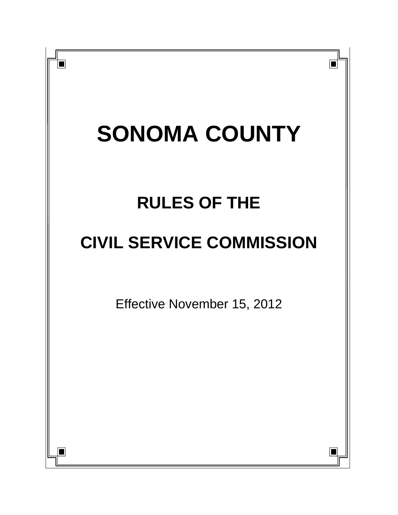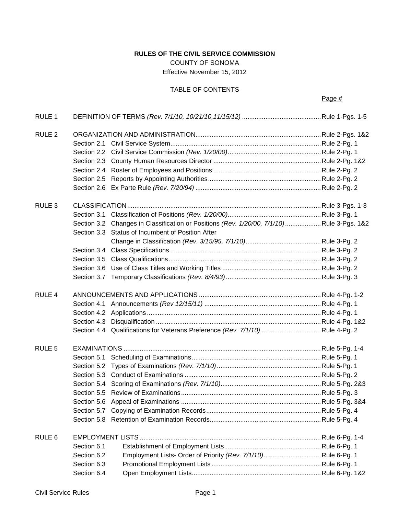# **RULES OF THE CIVIL SERVICE COMMISSION**

COUNTY OF SONOMA Effective November 15, 2012

# TABLE OF CONTENTS

| RULE 1            |             |                                                                                          |  |
|-------------------|-------------|------------------------------------------------------------------------------------------|--|
| RULE <sub>2</sub> |             |                                                                                          |  |
|                   |             |                                                                                          |  |
|                   |             |                                                                                          |  |
|                   |             |                                                                                          |  |
|                   |             |                                                                                          |  |
|                   |             |                                                                                          |  |
|                   |             |                                                                                          |  |
| RULE <sub>3</sub> |             |                                                                                          |  |
|                   |             |                                                                                          |  |
|                   |             | Section 3.2 Changes in Classification or Positions (Rev. 1/20/00, 7/1/10)Rule 3-Pgs. 1&2 |  |
|                   |             | Section 3.3 Status of Incumbent of Position After                                        |  |
|                   |             |                                                                                          |  |
|                   |             |                                                                                          |  |
|                   |             |                                                                                          |  |
|                   |             |                                                                                          |  |
|                   |             |                                                                                          |  |
| RULE 4            |             |                                                                                          |  |
|                   |             |                                                                                          |  |
|                   |             |                                                                                          |  |
|                   |             |                                                                                          |  |
|                   |             | Section 4.4 Qualifications for Veterans Preference (Rev. 7/1/10) Rule 4-Pg. 2            |  |
| RULE <sub>5</sub> |             |                                                                                          |  |
|                   |             |                                                                                          |  |
|                   |             |                                                                                          |  |
|                   |             |                                                                                          |  |
|                   |             |                                                                                          |  |
|                   |             |                                                                                          |  |
|                   |             |                                                                                          |  |
|                   |             |                                                                                          |  |
|                   |             |                                                                                          |  |
| RULE <sub>6</sub> |             |                                                                                          |  |
|                   | Section 6.1 |                                                                                          |  |
|                   | Section 6.2 |                                                                                          |  |
|                   | Section 6.3 |                                                                                          |  |
|                   | Section 6.4 |                                                                                          |  |
|                   |             |                                                                                          |  |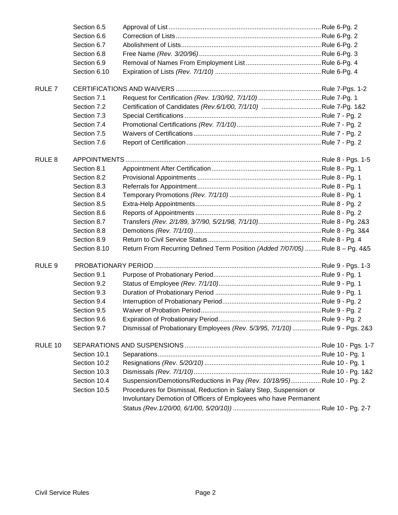|                   | Section 6.5  |                                                                               |  |  |
|-------------------|--------------|-------------------------------------------------------------------------------|--|--|
|                   | Section 6.6  |                                                                               |  |  |
|                   | Section 6.7  |                                                                               |  |  |
|                   | Section 6.8  |                                                                               |  |  |
|                   | Section 6.9  |                                                                               |  |  |
|                   | Section 6.10 |                                                                               |  |  |
| RULE <sub>7</sub> |              |                                                                               |  |  |
|                   | Section 7.1  |                                                                               |  |  |
|                   | Section 7.2  | Certification of Candidates (Rev.6/1/00, 7/1/10) Rule 7-Pg. 1&2               |  |  |
|                   | Section 7.3  |                                                                               |  |  |
|                   | Section 7.4  |                                                                               |  |  |
|                   | Section 7.5  |                                                                               |  |  |
|                   | Section 7.6  |                                                                               |  |  |
| RULE <sub>8</sub> |              |                                                                               |  |  |
|                   | Section 8.1  |                                                                               |  |  |
|                   | Section 8.2  |                                                                               |  |  |
|                   | Section 8.3  |                                                                               |  |  |
|                   | Section 8.4  |                                                                               |  |  |
|                   | Section 8.5  |                                                                               |  |  |
|                   | Section 8.6  |                                                                               |  |  |
|                   | Section 8.7  |                                                                               |  |  |
|                   | Section 8.8  |                                                                               |  |  |
|                   | Section 8.9  |                                                                               |  |  |
|                   | Section 8.10 | Return From Recurring Defined Term Position (Added 7/07/05)  Rule 8 - Pg. 4&5 |  |  |
| RULE <sub>9</sub> |              |                                                                               |  |  |
|                   | Section 9.1  |                                                                               |  |  |
|                   | Section 9.2  |                                                                               |  |  |
|                   | Section 9.3  |                                                                               |  |  |
|                   | Section 9.4  |                                                                               |  |  |
|                   | Section 9.5  |                                                                               |  |  |
|                   | Section 9.6  |                                                                               |  |  |
|                   | Section 9.7  | Dismissal of Probationary Employees (Rev. 5/3/95, 7/1/10)Rule 9 - Pgs. 2&3    |  |  |
| RULE 10           |              |                                                                               |  |  |
|                   | Section 10.1 |                                                                               |  |  |
|                   | Section 10.2 |                                                                               |  |  |
|                   | Section 10.3 |                                                                               |  |  |
|                   | Section 10.4 | Suspension/Demotions/Reductions in Pay (Rev. 10/18/95)Rule 10 - Pg. 2         |  |  |
|                   | Section 10.5 | Procedures for Dismissal, Reduction in Salary Step, Suspension or             |  |  |
|                   |              | Involuntary Demotion of Officers of Employees who have Permanent              |  |  |
|                   |              |                                                                               |  |  |
|                   |              |                                                                               |  |  |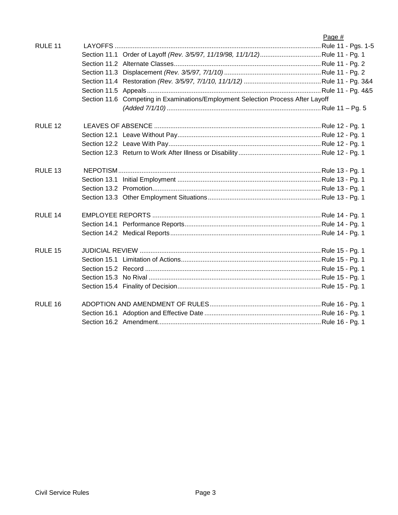|                    |                                                                                  | Page # |
|--------------------|----------------------------------------------------------------------------------|--------|
| RULE 11            |                                                                                  |        |
|                    |                                                                                  |        |
|                    |                                                                                  |        |
|                    |                                                                                  |        |
|                    |                                                                                  |        |
|                    |                                                                                  |        |
|                    | Section 11.6 Competing in Examinations/Employment Selection Process After Layoff |        |
|                    |                                                                                  |        |
| RULE 12            |                                                                                  |        |
|                    |                                                                                  |        |
|                    |                                                                                  |        |
|                    |                                                                                  |        |
| RULE <sub>13</sub> |                                                                                  |        |
|                    |                                                                                  |        |
|                    |                                                                                  |        |
|                    |                                                                                  |        |
| RULE 14            |                                                                                  |        |
|                    |                                                                                  |        |
|                    |                                                                                  |        |
| RULE 15            |                                                                                  |        |
|                    |                                                                                  |        |
|                    |                                                                                  |        |
|                    |                                                                                  |        |
|                    |                                                                                  |        |
| RULE 16            |                                                                                  |        |
|                    |                                                                                  |        |
|                    |                                                                                  |        |
|                    |                                                                                  |        |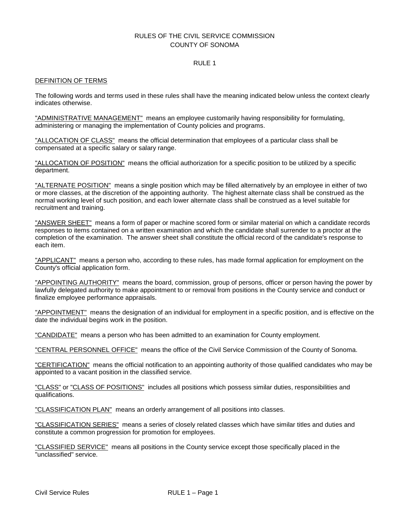# RULES OF THE CIVIL SERVICE COMMISSION COUNTY OF SONOMA

# RULE 1

### DEFINITION OF TERMS

The following words and terms used in these rules shall have the meaning indicated below unless the context clearly indicates otherwise.

"ADMINISTRATIVE MANAGEMENT" means an employee customarily having responsibility for formulating, administering or managing the implementation of County policies and programs.

"ALLOCATION OF CLASS" means the official determination that employees of a particular class shall be compensated at a specific salary or salary range.

"ALLOCATION OF POSITION" means the official authorization for a specific position to be utilized by a specific department.

"ALTERNATE POSITION" means a single position which may be filled alternatively by an employee in either of two or more classes, at the discretion of the appointing authority. The highest alternate class shall be construed as the normal working level of such position, and each lower alternate class shall be construed as a level suitable for recruitment and training.

"ANSWER SHEET" means a form of paper or machine scored form or similar material on which a candidate records responses to items contained on a written examination and which the candidate shall surrender to a proctor at the completion of the examination. The answer sheet shall constitute the official record of the candidate's response to each item.

"APPLICANT" means a person who, according to these rules, has made formal application for employment on the County's official application form.

"APPOINTING AUTHORITY" means the board, commission, group of persons, officer or person having the power by lawfully delegated authority to make appointment to or removal from positions in the County service and conduct or finalize employee performance appraisals.

"APPOINTMENT" means the designation of an individual for employment in a specific position, and is effective on the date the individual begins work in the position.

"CANDIDATE" means a person who has been admitted to an examination for County employment.

"CENTRAL PERSONNEL OFFICE" means the office of the Civil Service Commission of the County of Sonoma.

"CERTIFICATION" means the official notification to an appointing authority of those qualified candidates who may be appointed to a vacant position in the classified service.

"CLASS" or "CLASS OF POSITIONS" includes all positions which possess similar duties, responsibilities and qualifications.

"CLASSIFICATION PLAN" means an orderly arrangement of all positions into classes.

"CLASSIFICATION SERIES" means a series of closely related classes which have similar titles and duties and constitute a common progression for promotion for employees.

"CLASSIFIED SERVICE" means all positions in the County service except those specifically placed in the "unclassified" service.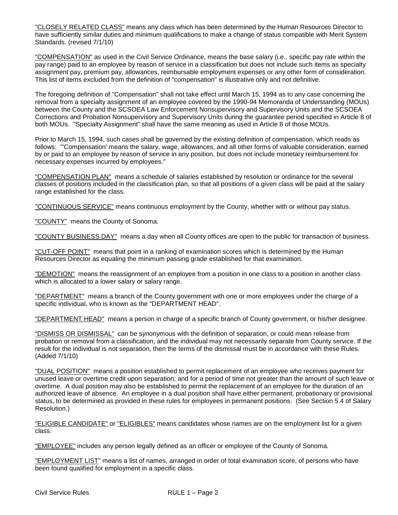"CLOSELY RELATED CLASS" means any class which has been determined by the Human Resources Director to have sufficiently similar duties and minimum qualifications to make a change of status compatible with Merit System Standards. (revised 7/1/10)

"COMPENSATION" as used in the Civil Service Ordinance, means the base salary (i.e., specific pay rate within the pay range) paid to an employee by reason of service in a classification but does not include such items as specialty assignment pay, premium pay, allowances, reimbursable employment expenses or any other form of consideration. This list of items excluded from the definition of "compensation" is illustrative only and not definitive.

The foregoing definition of "Compensation" shall not take effect until March 15, 1994 as to any case concerning the removal from a specialty assignment of an employee covered by the 1990-94 Memoranda of Understanding (MOUs) between the County and the SCSOEA Law Enforcement Nonsupervisory and Supervisory Units and the SCSOEA Corrections and Probation Nonsupervisory and Supervisory Units during the guarantee period specified in Article 8 of both MOUs. "Specialty Assignment" shall have the same meaning as used in Article 8 of those MOUs.

Prior to March 15, 1994, such cases shall be governed by the existing definition of compensation, which reads as follows: "'Compensation' means the salary, wage, allowances, and all other forms of valuable consideration, earned by or paid to an employee by reason of service in any position, but does not include monetary reimbursement for necessary expenses incurred by employees."

"COMPENSATION PLAN" means a schedule of salaries established by resolution or ordinance for the several classes of positions included in the classification plan, so that all positions of a given class will be paid at the salary range established for the class.

"CONTINUOUS SERVICE" means continuous employment by the County, whether with or without pay status.

"COUNTY" means the County of Sonoma.

"COUNTY BUSINESS DAY" means a day when all County offices are open to the public for transaction of business.

"CUT-OFF POINT" means that point in a ranking of examination scores which is determined by the Human Resources Director as equaling the minimum passing grade established for that examination.

"DEMOTION" means the reassignment of an employee from a position in one class to a position in another class which is allocated to a lower salary or salary range.

"DEPARTMENT" means a branch of the County government with one or more employees under the charge of a specific individual, who is known as the "DEPARTMENT HEAD".

"DEPARTMENT HEAD" means a person in charge of a specific branch of County government, or his/her designee.

"DISMISS OR DISMISSAL" can be synonymous with the definition of separation, or could mean release from probation or removal from a classification, and the individual may not necessarily separate from County service. If the result for the individual is not separation, then the terms of the dismissal must be in accordance with these Rules. (Added 7/1/10)

"DUAL POSITION" means a position established to permit replacement of an employee who receives payment for unused leave or overtime credit upon separation; and for a period of time not greater than the amount of such leave or overtime. A dual position may also be established to permit the replacement of an employee for the duration of an authorized leave of absence. An employee in a dual position shall have either permanent, probationary or provisional status, to be determined as provided in these rules for employees in permanent positions. (See Section 5.4 of Salary Resolution.)

"ELIGIBLE CANDIDATE" or "ELIGIBLES" means candidates whose names are on the employment list for a given class.

"EMPLOYEE" includes any person legally defined as an officer or employee of the County of Sonoma.

"EMPLOYMENT LIST" means a list of names, arranged in order of total examination score, of persons who have been found qualified for employment in a specific class.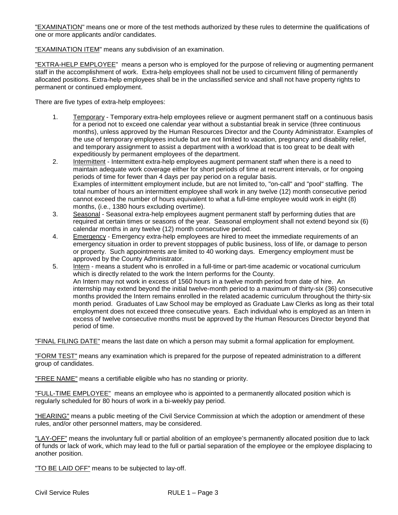"EXAMINATION" means one or more of the test methods authorized by these rules to determine the qualifications of one or more applicants and/or candidates.

"EXAMINATION ITEM" means any subdivision of an examination.

"EXTRA-HELP EMPLOYEE" means a person who is employed for the purpose of relieving or augmenting permanent staff in the accomplishment of work. Extra-help employees shall not be used to circumvent filling of permanently allocated positions. Extra-help employees shall be in the unclassified service and shall not have property rights to permanent or continued employment.

There are five types of extra-help employees:

- 1. Temporary Temporary extra-help employees relieve or augment permanent staff on a continuous basis for a period not to exceed one calendar year without a substantial break in service (three continuous months), unless approved by the Human Resources Director and the County Administrator. Examples of the use of temporary employees include but are not limited to vacation, pregnancy and disability relief, and temporary assignment to assist a department with a workload that is too great to be dealt with expeditiously by permanent employees of the department.
- 2. Intermittent Intermittent extra-help employees augment permanent staff when there is a need to maintain adequate work coverage either for short periods of time at recurrent intervals, or for ongoing periods of time for fewer than 4 days per pay period on a regular basis. Examples of intermittent employment include, but are not limited to, "on-call" and "pool" staffing. The total number of hours an intermittent employee shall work in any twelve (12) month consecutive period cannot exceed the number of hours equivalent to what a full-time employee would work in eight (8) months, (i.e., 1380 hours excluding overtime).
- 3. Seasonal Seasonal extra-help employees augment permanent staff by performing duties that are required at certain times or seasons of the year. Seasonal employment shall not extend beyond six (6) calendar months in any twelve (12) month consecutive period.
- 4. Emergency Emergency extra-help employees are hired to meet the immediate requirements of an emergency situation in order to prevent stoppages of public business, loss of life, or damage to person or property. Such appointments are limited to 40 working days. Emergency employment must be approved by the County Administrator.
- 5. Intern means a student who is enrolled in a full-time or part-time academic or vocational curriculum which is directly related to the work the Intern performs for the County. An Intern may not work in excess of 1560 hours in a twelve month period from date of hire. An internship may extend beyond the initial twelve-month period to a maximum of thirty-six (36) consecutive months provided the Intern remains enrolled in the related academic curriculum throughout the thirty-six month period. Graduates of Law School may be employed as Graduate Law Clerks as long as their total employment does not exceed three consecutive years. Each individual who is employed as an Intern in excess of twelve consecutive months must be approved by the Human Resources Director beyond that period of time.

"FINAL FILING DATE" means the last date on which a person may submit a formal application for employment.

"FORM TEST" means any examination which is prepared for the purpose of repeated administration to a different group of candidates.

"FREE NAME" means a certifiable eligible who has no standing or priority.

"FULL-TIME EMPLOYEE" means an employee who is appointed to a permanently allocated position which is regularly scheduled for 80 hours of work in a bi-weekly pay period.

"HEARING" means a public meeting of the Civil Service Commission at which the adoption or amendment of these rules, and/or other personnel matters, may be considered.

"LAY-OFF" means the involuntary full or partial abolition of an employee's permanently allocated position due to lack of funds or lack of work, which may lead to the full or partial separation of the employee or the employee displacing to another position.

"TO BE LAID OFF" means to be subjected to lay-off.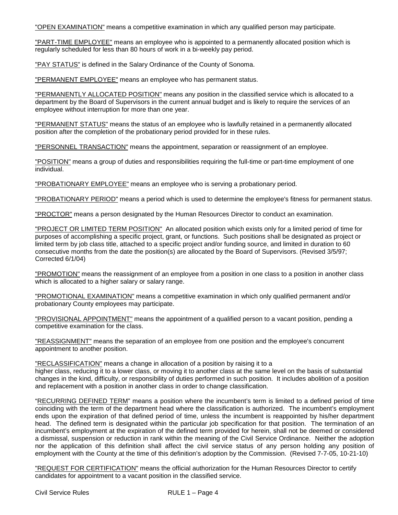"OPEN EXAMINATION" means a competitive examination in which any qualified person may participate.

"PART-TIME EMPLOYEE" means an employee who is appointed to a permanently allocated position which is regularly scheduled for less than 80 hours of work in a bi-weekly pay period.

"PAY STATUS" is defined in the Salary Ordinance of the County of Sonoma.

"PERMANENT EMPLOYEE" means an employee who has permanent status.

"PERMANENTLY ALLOCATED POSITION" means any position in the classified service which is allocated to a department by the Board of Supervisors in the current annual budget and is likely to require the services of an employee without interruption for more than one year.

"PERMANENT STATUS" means the status of an employee who is lawfully retained in a permanently allocated position after the completion of the probationary period provided for in these rules.

"PERSONNEL TRANSACTION" means the appointment, separation or reassignment of an employee.

"POSITION" means a group of duties and responsibilities requiring the full-time or part-time employment of one individual.

"PROBATIONARY EMPLOYEE" means an employee who is serving a probationary period.

"PROBATIONARY PERIOD" means a period which is used to determine the employee's fitness for permanent status.

"PROCTOR" means a person designated by the Human Resources Director to conduct an examination.

"PROJECT OR LIMITED TERM POSITION" An allocated position which exists only for a limited period of time for purposes of accomplishing a specific project, grant, or functions. Such positions shall be designated as project or limited term by job class title, attached to a specific project and/or funding source, and limited in duration to 60 consecutive months from the date the position(s) are allocated by the Board of Supervisors. (Revised 3/5/97; Corrected 6/1/04)

"PROMOTION" means the reassignment of an employee from a position in one class to a position in another class which is allocated to a higher salary or salary range.

"PROMOTIONAL EXAMINATION" means a competitive examination in which only qualified permanent and/or probationary County employees may participate.

"PROVISIONAL APPOINTMENT" means the appointment of a qualified person to a vacant position, pending a competitive examination for the class.

"REASSIGNMENT" means the separation of an employee from one position and the employee's concurrent appointment to another position.

"RECLASSIFICATION" means a change in allocation of a position by raising it to a

higher class, reducing it to a lower class, or moving it to another class at the same level on the basis of substantial changes in the kind, difficulty, or responsibility of duties performed in such position. It includes abolition of a position and replacement with a position in another class in order to change classification.

"RECURRING DEFINED TERM" means a position where the incumbent's term is limited to a defined period of time coinciding with the term of the department head where the classification is authorized. The incumbent's employment ends upon the expiration of that defined period of time, unless the incumbent is reappointed by his/her department head. The defined term is designated within the particular job specification for that position. The termination of an incumbent's employment at the expiration of the defined term provided for herein, shall not be deemed or considered a dismissal, suspension or reduction in rank within the meaning of the Civil Service Ordinance. Neither the adoption nor the application of this definition shall affect the civil service status of any person holding any position of employment with the County at the time of this definition's adoption by the Commission. (Revised 7-7-05, 10-21-10)

"REQUEST FOR CERTIFICATION" means the official authorization for the Human Resources Director to certify candidates for appointment to a vacant position in the classified service.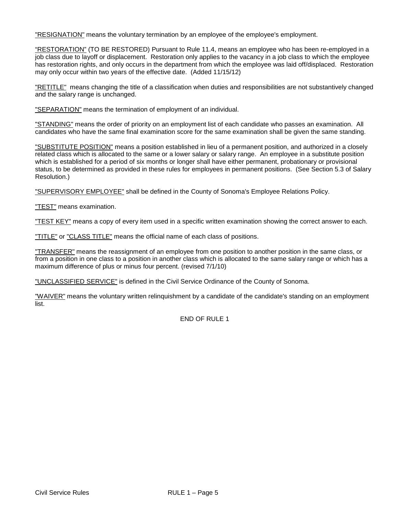"RESIGNATION" means the voluntary termination by an employee of the employee's employment.

"RESTORATION" (TO BE RESTORED) Pursuant to Rule 11.4, means an employee who has been re-employed in a job class due to layoff or displacement. Restoration only applies to the vacancy in a job class to which the employee has restoration rights, and only occurs in the department from which the employee was laid off/displaced. Restoration may only occur within two years of the effective date. (Added 11/15/12)

"RETITLE" means changing the title of a classification when duties and responsibilities are not substantively changed and the salary range is unchanged.

"SEPARATION" means the termination of employment of an individual.

"STANDING" means the order of priority on an employment list of each candidate who passes an examination. All candidates who have the same final examination score for the same examination shall be given the same standing.

"SUBSTITUTE POSITION" means a position established in lieu of a permanent position, and authorized in a closely related class which is allocated to the same or a lower salary or salary range. An employee in a substitute position which is established for a period of six months or longer shall have either permanent, probationary or provisional status, to be determined as provided in these rules for employees in permanent positions. (See Section 5.3 of Salary Resolution.)

"SUPERVISORY EMPLOYEE" shall be defined in the County of Sonoma's Employee Relations Policy.

"TEST" means examination.

"TEST KEY" means a copy of every item used in a specific written examination showing the correct answer to each.

"TITLE" or "CLASS TITLE" means the official name of each class of positions.

"TRANSFER" means the reassignment of an employee from one position to another position in the same class, or from a position in one class to a position in another class which is allocated to the same salary range or which has a maximum difference of plus or minus four percent. (revised 7/1/10)

"UNCLASSIFIED SERVICE" is defined in the Civil Service Ordinance of the County of Sonoma.

"WAIVER" means the voluntary written relinquishment by a candidate of the candidate's standing on an employment list.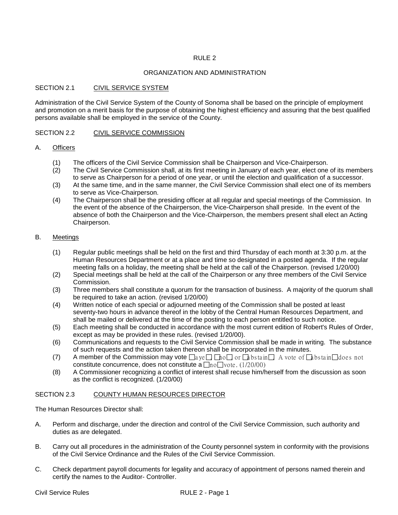# ORGANIZATION AND ADMINISTRATION

# SECTION 2.1 CIVIL SERVICE SYSTEM

Administration of the Civil Service System of the County of Sonoma shall be based on the principle of employment and promotion on a merit basis for the purpose of obtaining the highest efficiency and assuring that the best qualified persons available shall be employed in the service of the County.

# SECTION 2.2 CIVIL SERVICE COMMISSION

# A. Officers

- (1) The officers of the Civil Service Commission shall be Chairperson and Vice-Chairperson.
- (2) The Civil Service Commission shall, at its first meeting in January of each year, elect one of its members to serve as Chairperson for a period of one year, or until the election and qualification of a successor.
- (3) At the same time, and in the same manner, the Civil Service Commission shall elect one of its members to serve as Vice-Chairperson.
- (4) The Chairperson shall be the presiding officer at all regular and special meetings of the Commission. In the event of the absence of the Chairperson, the Vice-Chairperson shall preside. In the event of the absence of both the Chairperson and the Vice-Chairperson, the members present shall elect an Acting Chairperson.

# B. Meetings

- (1) Regular public meetings shall be held on the first and third Thursday of each month at 3:30 p.m. at the Human Resources Department or at a place and time so designated in a posted agenda. If the regular meeting falls on a holiday, the meeting shall be held at the call of the Chairperson. (revised 1/20/00)
- (2) Special meetings shall be held at the call of the Chairperson or any three members of the Civil Service Commission.
- (3) Three members shall constitute a quorum for the transaction of business. A majority of the quorum shall be required to take an action. (revised 1/20/00)
- (4) Written notice of each special or adjourned meeting of the Commission shall be posted at least seventy-two hours in advance thereof in the lobby of the Central Human Resources Department, and shall be mailed or delivered at the time of the posting to each person entitled to such notice.
- (5) Each meeting shall be conducted in accordance with the most current edition of Robert's Rules of Order, except as may be provided in these rules. (revised 1/20/00).
- (6) Communications and requests to the Civil Service Commission shall be made in writing. The substance of such requests and the action taken thereon shall be incorporated in the minutes.
- (7) A member of the Commission may vote  $\Box a$  ye,  $\Box$   $\Box b$  or  $\Box b$  bs ta in  $\Box$  A vote of  $\Box b$  bs ta in $\Box$  does not constitute concurrence, does not constitute a  $\Box$ no $\Box$ vote. (1/20/00)
- (8) A Commissioner recognizing a conflict of interest shall recuse him/herself from the discussion as soon as the conflict is recognized. (1/20/00)

# SECTION 2.3 COUNTY HUMAN RESOURCES DIRECTOR

The Human Resources Director shall:

- A. Perform and discharge, under the direction and control of the Civil Service Commission, such authority and duties as are delegated.
- B. Carry out all procedures in the administration of the County personnel system in conformity with the provisions of the Civil Service Ordinance and the Rules of the Civil Service Commission.
- C. Check department payroll documents for legality and accuracy of appointment of persons named therein and certify the names to the Auditor- Controller.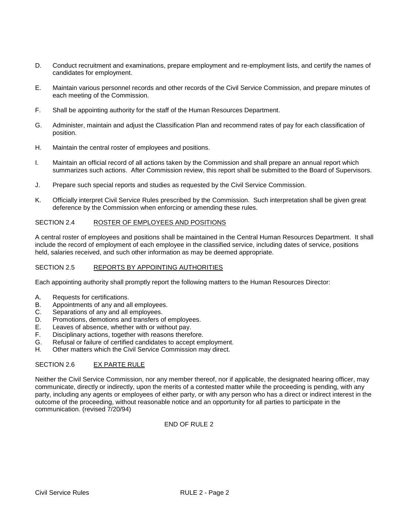- D. Conduct recruitment and examinations, prepare employment and re-employment lists, and certify the names of candidates for employment.
- E. Maintain various personnel records and other records of the Civil Service Commission, and prepare minutes of each meeting of the Commission.
- F. Shall be appointing authority for the staff of the Human Resources Department.
- G. Administer, maintain and adjust the Classification Plan and recommend rates of pay for each classification of position.
- H. Maintain the central roster of employees and positions.
- I. Maintain an official record of all actions taken by the Commission and shall prepare an annual report which summarizes such actions. After Commission review, this report shall be submitted to the Board of Supervisors.
- J. Prepare such special reports and studies as requested by the Civil Service Commission.
- K. Officially interpret Civil Service Rules prescribed by the Commission. Such interpretation shall be given great deference by the Commission when enforcing or amending these rules.

# SECTION 2.4 ROSTER OF EMPLOYEES AND POSITIONS

A central roster of employees and positions shall be maintained in the Central Human Resources Department. It shall include the record of employment of each employee in the classified service, including dates of service, positions held, salaries received, and such other information as may be deemed appropriate.

# SECTION 2.5 REPORTS BY APPOINTING AUTHORITIES

Each appointing authority shall promptly report the following matters to the Human Resources Director:

- A. Requests for certifications.<br>B. Appointments of any and a
- Appointments of any and all employees.
- C. Separations of any and all employees.
- D. Promotions, demotions and transfers of employees.
- E. Leaves of absence, whether with or without pay.
- F. Disciplinary actions, together with reasons therefore.
- G. Refusal or failure of certified candidates to accept employment.<br>H. Other matters which the Civil Service Commission may direct
- Other matters which the Civil Service Commission may direct.

# SECTION 2.6 EX PARTE RULE

Neither the Civil Service Commission, nor any member thereof, nor if applicable, the designated hearing officer, may communicate, directly or indirectly, upon the merits of a contested matter while the proceeding is pending, with any party, including any agents or employees of either party, or with any person who has a direct or indirect interest in the outcome of the proceeding, without reasonable notice and an opportunity for all parties to participate in the communication. (revised 7/20/94)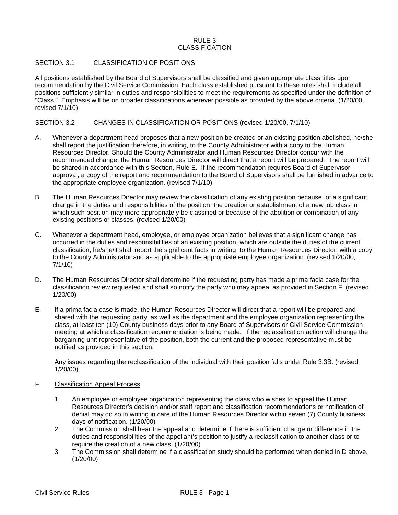# $RUIF3$ CLASSIFICATION

## SECTION 3.1 CLASSIFICATION OF POSITIONS

All positions established by the Board of Supervisors shall be classified and given appropriate class titles upon recommendation by the Civil Service Commission. Each class established pursuant to these rules shall include all positions sufficiently similar in duties and responsibilities to meet the requirements as specified under the definition of "Class." Emphasis will be on broader classifications wherever possible as provided by the above criteria. (1/20/00, revised 7/1/10)

# SECTION 3.2 CHANGES IN CLASSIFICATION OR POSITIONS (revised 1/20/00, 7/1/10)

- A. Whenever a department head proposes that a new position be created or an existing position abolished, he/she shall report the justification therefore, in writing, to the County Administrator with a copy to the Human Resources Director. Should the County Administrator and Human Resources Director concur with the recommended change, the Human Resources Director will direct that a report will be prepared. The report will be shared in accordance with this Section, Rule E. If the recommendation requires Board of Supervisor approval, a copy of the report and recommendation to the Board of Supervisors shall be furnished in advance to the appropriate employee organization. (revised 7/1/10)
- B. The Human Resources Director may review the classification of any existing position because: of a significant change in the duties and responsibilities of the position, the creation or establishment of a new job class in which such position may more appropriately be classified or because of the abolition or combination of any existing positions or classes. (revised 1/20/00)
- C. Whenever a department head, employee, or employee organization believes that a significant change has occurred in the duties and responsibilities of an existing position, which are outside the duties of the current classification, he/she/it shall report the significant facts in writing to the Human Resources Director, with a copy to the County Administrator and as applicable to the appropriate employee organization. (revised 1/20/00, 7/1/10)
- D. The Human Resources Director shall determine if the requesting party has made a prima facia case for the classification review requested and shall so notify the party who may appeal as provided in Section F. (revised 1/20/00)
- E. If a prima facia case is made, the Human Resources Director will direct that a report will be prepared and shared with the requesting party, as well as the department and the employee organization representing the class, at least ten (10) County business days prior to any Board of Supervisors or Civil Service Commission meeting at which a classification recommendation is being made. If the reclassification action will change the bargaining unit representative of the position, both the current and the proposed representative must be notified as provided in this section.

Any issues regarding the reclassification of the individual with their position falls under Rule 3.3B. (revised 1/20/00)

# F. Classification Appeal Process

- 1. An employee or employee organization representing the class who wishes to appeal the Human Resources Director's decision and/or staff report and classification recommendations or notification of denial may do so in writing in care of the Human Resources Director within seven (7) County business days of notification. (1/20/00)
- 2. The Commission shall hear the appeal and determine if there is sufficient change or difference in the duties and responsibilities of the appellant's position to justify a reclassification to another class or to require the creation of a new class. (1/20/00)
- 3. The Commission shall determine if a classification study should be performed when denied in D above. (1/20/00)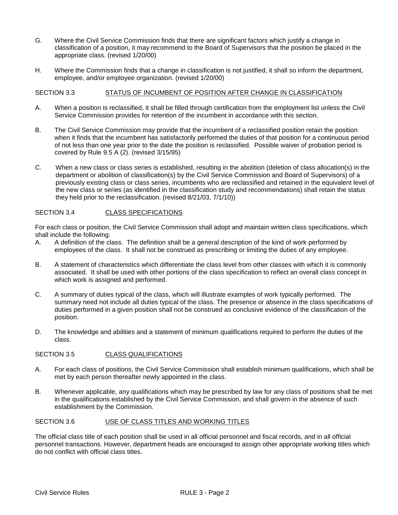- G. Where the Civil Service Commission finds that there are significant factors which justify a change in classification of a position, it may recommend to the Board of Supervisors that the position be placed in the appropriate class. (revised 1/20/00)
- H. Where the Commission finds that a change in classification is not justified, it shall so inform the department, employee, and/or employee organization. (revised 1/20/00)

# SECTION 3.3 STATUS OF INCUMBENT OF POSITION AFTER CHANGE IN CLASSIFICATION

- A. When a position is reclassified, it shall be filled through certification from the employment list unless the Civil Service Commission provides for retention of the incumbent in accordance with this section.
- B. The Civil Service Commission may provide that the incumbent of a reclassified position retain the position when it finds that the incumbent has satisfactorily performed the duties of that position for a continuous period of not less than one year prior to the date the position is reclassified. Possible waiver of probation period is covered by Rule 9.5 A (2). (revised 3/15/95)
- C. When a new class or class series is established, resulting in the abolition (deletion of class allocation(s) in the department or abolition of classification(s) by the Civil Service Commission and Board of Supervisors) of a previously existing class or class series, incumbents who are reclassified and retained in the equivalent level of the new class or series (as identified in the classification study and recommendations) shall retain the status they held prior to the reclassification. (revised 8/21/03, 7/1/10))

# SECTION 3.4 CLASS SPECIFICATIONS

For each class or position, the Civil Service Commission shall adopt and maintain written class specifications, which shall include the following:

- A. A definition of the class. The definition shall be a general description of the kind of work performed by employees of the class. It shall not be construed as prescribing or limiting the duties of any employee.
- B. A statement of characteristics which differentiate the class level from other classes with which it is commonly associated. It shall be used with other portions of the class specification to reflect an overall class concept in which work is assigned and performed.
- C. A summary of duties typical of the class, which will illustrate examples of work typically performed. The summary need not include all duties typical of the class. The presence or absence in the class specifications of duties performed in a given position shall not be construed as conclusive evidence of the classification of the position.
- D. The knowledge and abilities and a statement of minimum qualifications required to perform the duties of the class.

# SECTION 3.5 CLASS QUALIFICATIONS

- A. For each class of positions, the Civil Service Commission shall establish minimum qualifications, which shall be met by each person thereafter newly appointed in the class.
- B. Whenever applicable, any qualifications which may be prescribed by law for any class of positions shall be met in the qualifications established by the Civil Service Commission, and shall govern in the absence of such establishment by the Commission.

# SECTION 3.6 USE OF CLASS TITLES AND WORKING TITLES

The official class title of each position shall be used in all official personnel and fiscal records, and in all official personnel transactions. However, department heads are encouraged to assign other appropriate working titles which do not conflict with official class titles.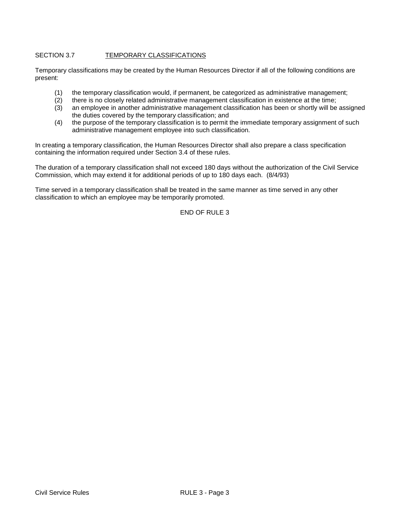# SECTION 3.7 TEMPORARY CLASSIFICATIONS

Temporary classifications may be created by the Human Resources Director if all of the following conditions are present:

- (1) the temporary classification would, if permanent, be categorized as administrative management;
- (2) there is no closely related administrative management classification in existence at the time;<br>(3) an employee in another administrative management classification has been or shortly will be
- an employee in another administrative management classification has been or shortly will be assigned the duties covered by the temporary classification; and
- (4) the purpose of the temporary classification is to permit the immediate temporary assignment of such administrative management employee into such classification.

In creating a temporary classification, the Human Resources Director shall also prepare a class specification containing the information required under Section 3.4 of these rules.

The duration of a temporary classification shall not exceed 180 days without the authorization of the Civil Service Commission, which may extend it for additional periods of up to 180 days each. (8/4/93)

Time served in a temporary classification shall be treated in the same manner as time served in any other classification to which an employee may be temporarily promoted.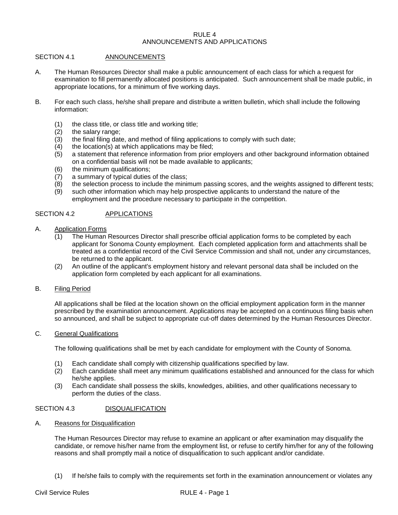#### $R$ III $F$ 4 ANNOUNCEMENTS AND APPLICATIONS

# SECTION 4.1 ANNOUNCEMENTS

- A. The Human Resources Director shall make a public announcement of each class for which a request for examination to fill permanently allocated positions is anticipated. Such announcement shall be made public, in appropriate locations, for a minimum of five working days.
- B. For each such class, he/she shall prepare and distribute a written bulletin, which shall include the following information:
	- (1) the class title, or class title and working title;
	- $(2)$  the salary range;<br> $(3)$  the final filing date
	- (3) the final filing date, and method of filing applications to comply with such date;<br>(4) the location(s) at which applications may be filed;
	- the location(s) at which applications may be filed;
	- (5) a statement that reference information from prior employers and other background information obtained on a confidential basis will not be made available to applicants;
	- (6) the minimum qualifications;
	- (7) a summary of typical duties of the class;
	- (8) the selection process to include the minimum passing scores, and the weights assigned to different tests;
	- (9) such other information which may help prospective applicants to understand the nature of the employment and the procedure necessary to participate in the competition.

# SECTION 4.2 APPLICATIONS

- A. Application Forms
	- (1) The Human Resources Director shall prescribe official application forms to be completed by each applicant for Sonoma County employment. Each completed application form and attachments shall be treated as a confidential record of the Civil Service Commission and shall not, under any circumstances, be returned to the applicant.
	- (2) An outline of the applicant's employment history and relevant personal data shall be included on the application form completed by each applicant for all examinations.
- B. Filing Period

All applications shall be filed at the location shown on the official employment application form in the manner prescribed by the examination announcement. Applications may be accepted on a continuous filing basis when so announced, and shall be subject to appropriate cut-off dates determined by the Human Resources Director.

C. General Qualifications

The following qualifications shall be met by each candidate for employment with the County of Sonoma.

- (1) Each candidate shall comply with citizenship qualifications specified by law.
- (2) Each candidate shall meet any minimum qualifications established and announced for the class for which he/she applies.
- (3) Each candidate shall possess the skills, knowledges, abilities, and other qualifications necessary to perform the duties of the class.

# SECTION 4.3 DISQUALIFICATION

A. Reasons for Disqualification

The Human Resources Director may refuse to examine an applicant or after examination may disqualify the candidate, or remove his/her name from the employment list, or refuse to certify him/her for any of the following reasons and shall promptly mail a notice of disqualification to such applicant and/or candidate.

(1) If he/she fails to comply with the requirements set forth in the examination announcement or violates any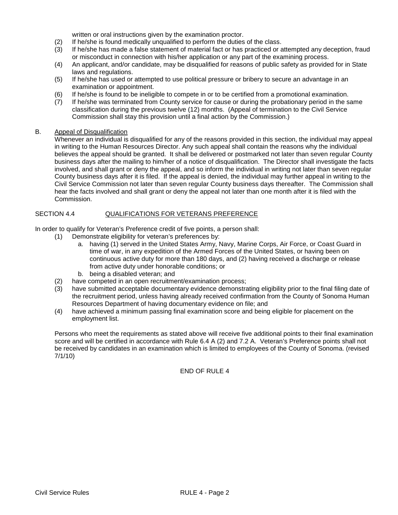written or oral instructions given by the examination proctor.

- (2) If he/she is found medically unqualified to perform the duties of the class.
- (3) If he/she has made a false statement of material fact or has practiced or attempted any deception, fraud or misconduct in connection with his/her application or any part of the examining process.
- (4) An applicant, and/or candidate, may be disqualified for reasons of public safety as provided for in State laws and regulations.
- (5) If he/she has used or attempted to use political pressure or bribery to secure an advantage in an examination or appointment.
- (6) If he/she is found to be ineligible to compete in or to be certified from a promotional examination.<br>(7) If he/she was terminated from County service for cause or during the probationary period in the s
- If he/she was terminated from County service for cause or during the probationary period in the same classification during the previous twelve (12) months. (Appeal of termination to the Civil Service Commission shall stay this provision until a final action by the Commission.)

#### B. Appeal of Disqualification

Whenever an individual is disqualified for any of the reasons provided in this section, the individual may appeal in writing to the Human Resources Director. Any such appeal shall contain the reasons why the individual believes the appeal should be granted. It shall be delivered or postmarked not later than seven regular County business days after the mailing to him/her of a notice of disqualification. The Director shall investigate the facts involved, and shall grant or deny the appeal, and so inform the individual in writing not later than seven regular County business days after it is filed. If the appeal is denied, the individual may further appeal in writing to the Civil Service Commission not later than seven regular County business days thereafter. The Commission shall hear the facts involved and shall grant or deny the appeal not later than one month after it is filed with the Commission.

# SECTION 4.4 QUALIFICATIONS FOR VETERANS PREFERENCE

In order to qualify for Veteran's Preference credit of five points, a person shall:

- (1) Demonstrate eligibility for veteran's preferences by:
	- a. having (1) served in the United States Army, Navy, Marine Corps, Air Force, or Coast Guard in time of war, in any expedition of the Armed Forces of the United States, or having been on continuous active duty for more than 180 days, and (2) having received a discharge or release from active duty under honorable conditions; or
	- b. being a disabled veteran; and
- (2) have competed in an open recruitment/examination process;
- (3) have submitted acceptable documentary evidence demonstrating eligibility prior to the final filing date of the recruitment period, unless having already received confirmation from the County of Sonoma Human Resources Department of having documentary evidence on file; and
- (4) have achieved a minimum passing final examination score and being eligible for placement on the employment list.

Persons who meet the requirements as stated above will receive five additional points to their final examination score and will be certified in accordance with Rule 6.4 A (2) and 7.2 A. Veteran's Preference points shall not be received by candidates in an examination which is limited to employees of the County of Sonoma. (revised 7/1/10)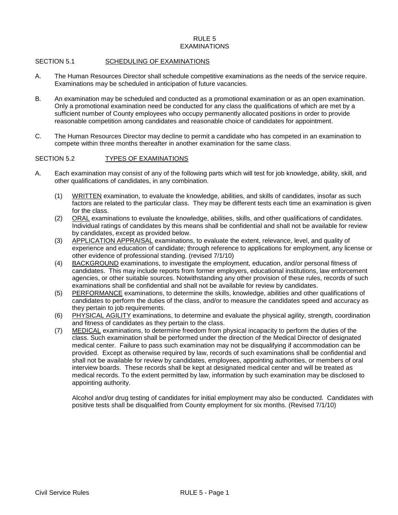# $RUIF<sub>5</sub>$ EXAMINATIONS

# SECTION 5.1 SCHEDULING OF EXAMINATIONS

- A. The Human Resources Director shall schedule competitive examinations as the needs of the service require. Examinations may be scheduled in anticipation of future vacancies.
- B. An examination may be scheduled and conducted as a promotional examination or as an open examination. Only a promotional examination need be conducted for any class the qualifications of which are met by a sufficient number of County employees who occupy permanently allocated positions in order to provide reasonable competition among candidates and reasonable choice of candidates for appointment.
- C. The Human Resources Director may decline to permit a candidate who has competed in an examination to compete within three months thereafter in another examination for the same class.

# SECTION 5.2 TYPES OF EXAMINATIONS

- A. Each examination may consist of any of the following parts which will test for job knowledge, ability, skill, and other qualifications of candidates, in any combination.
	- (1) WRITTEN examination, to evaluate the knowledge, abilities, and skills of candidates, insofar as such factors are related to the particular class. They may be different tests each time an examination is given for the class.
	- (2) ORAL examinations to evaluate the knowledge, abilities, skills, and other qualifications of candidates. Individual ratings of candidates by this means shall be confidential and shall not be available for review by candidates, except as provided below.
	- (3) APPLICATION APPRAISAL examinations, to evaluate the extent, relevance, level, and quality of experience and education of candidate; through reference to applications for employment, any license or other evidence of professional standing. (revised 7/1/10)
	- (4) BACKGROUND examinations, to investigate the employment, education, and/or personal fitness of candidates. This may include reports from former employers, educational institutions, law enforcement agencies, or other suitable sources. Notwithstanding any other provision of these rules, records of such examinations shall be confidential and shall not be available for review by candidates.
	- (5) PERFORMANCE examinations, to determine the skills, knowledge, abilities and other qualifications of candidates to perform the duties of the class, and/or to measure the candidates speed and accuracy as they pertain to job requirements.
	- (6) PHYSICAL AGILITY examinations, to determine and evaluate the physical agility, strength, coordination and fitness of candidates as they pertain to the class.
	- (7) MEDICAL examinations, to determine freedom from physical incapacity to perform the duties of the class. Such examination shall be performed under the direction of the Medical Director of designated medical center. Failure to pass such examination may not be disqualifying if accommodation can be provided. Except as otherwise required by law, records of such examinations shall be confidential and shall not be available for review by candidates, employees, appointing authorities, or members of oral interview boards. These records shall be kept at designated medical center and will be treated as medical records. To the extent permitted by law, information by such examination may be disclosed to appointing authority.

Alcohol and/or drug testing of candidates for initial employment may also be conducted. Candidates with positive tests shall be disqualified from County employment for six months. (Revised 7/1/10)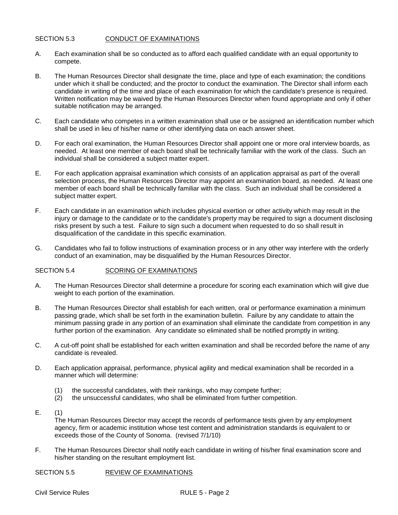# SECTION 5.3 CONDUCT OF EXAMINATIONS

- A. Each examination shall be so conducted as to afford each qualified candidate with an equal opportunity to compete.
- B. The Human Resources Director shall designate the time, place and type of each examination; the conditions under which it shall be conducted; and the proctor to conduct the examination. The Director shall inform each candidate in writing of the time and place of each examination for which the candidate's presence is required. Written notification may be waived by the Human Resources Director when found appropriate and only if other suitable notification may be arranged.
- C. Each candidate who competes in a written examination shall use or be assigned an identification number which shall be used in lieu of his/her name or other identifying data on each answer sheet.
- D. For each oral examination, the Human Resources Director shall appoint one or more oral interview boards, as needed. At least one member of each board shall be technically familiar with the work of the class. Such an individual shall be considered a subject matter expert.
- E. For each application appraisal examination which consists of an application appraisal as part of the overall selection process, the Human Resources Director may appoint an examination board, as needed. At least one member of each board shall be technically familiar with the class. Such an individual shall be considered a subject matter expert.
- F. Each candidate in an examination which includes physical exertion or other activity which may result in the injury or damage to the candidate or to the candidate's property may be required to sign a document disclosing risks present by such a test. Failure to sign such a document when requested to do so shall result in disqualification of the candidate in this specific examination.
- G. Candidates who fail to follow instructions of examination process or in any other way interfere with the orderly conduct of an examination, may be disqualified by the Human Resources Director.

# SECTION 5.4 SCORING OF EXAMINATIONS

- A. The Human Resources Director shall determine a procedure for scoring each examination which will give due weight to each portion of the examination.
- B. The Human Resources Director shall establish for each written, oral or performance examination a minimum passing grade, which shall be set forth in the examination bulletin. Failure by any candidate to attain the minimum passing grade in any portion of an examination shall eliminate the candidate from competition in any further portion of the examination. Any candidate so eliminated shall be notified promptly in writing.
- C. A cut-off point shall be established for each written examination and shall be recorded before the name of any candidate is revealed.
- D. Each application appraisal, performance, physical agility and medical examination shall be recorded in a manner which will determine:
	- (1) the successful candidates, with their rankings, who may compete further;<br>(2) the unsuccessful candidates, who shall be eliminated from further compete
	- the unsuccessful candidates, who shall be eliminated from further competition.
- E. (1)

The Human Resources Director may accept the records of performance tests given by any employment agency, firm or academic institution whose test content and administration standards is equivalent to or exceeds those of the County of Sonoma. (revised 7/1/10)

F. The Human Resources Director shall notify each candidate in writing of his/her final examination score and his/her standing on the resultant employment list.

# SECTION 5.5 REVIEW OF EXAMINATIONS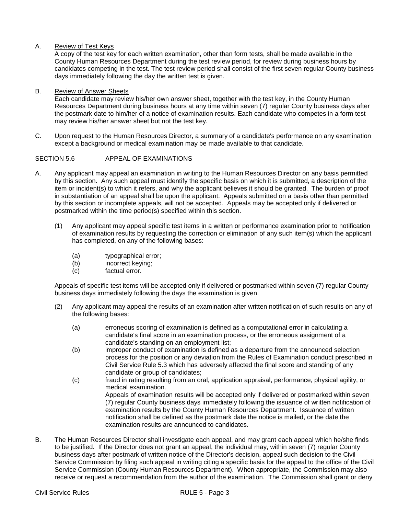# A. Review of Test Keys

A copy of the test key for each written examination, other than form tests, shall be made available in the County Human Resources Department during the test review period, for review during business hours by candidates competing in the test. The test review period shall consist of the first seven regular County business days immediately following the day the written test is given.

# B. Review of Answer Sheets

Each candidate may review his/her own answer sheet, together with the test key, in the County Human Resources Department during business hours at any time within seven (7) regular County business days after the postmark date to him/her of a notice of examination results. Each candidate who competes in a form test may review his/her answer sheet but not the test key.

C. Upon request to the Human Resources Director, a summary of a candidate's performance on any examination except a background or medical examination may be made available to that candidate.

# SECTION 5.6 APPEAL OF EXAMINATIONS

- A. Any applicant may appeal an examination in writing to the Human Resources Director on any basis permitted by this section. Any such appeal must identify the specific basis on which it is submitted, a description of the item or incident(s) to which it refers, and why the applicant believes it should be granted. The burden of proof in substantiation of an appeal shall be upon the applicant. Appeals submitted on a basis other than permitted by this section or incomplete appeals, will not be accepted. Appeals may be accepted only if delivered or postmarked within the time period(s) specified within this section.
	- (1) Any applicant may appeal specific test items in a written or performance examination prior to notification of examination results by requesting the correction or elimination of any such item(s) which the applicant has completed, on any of the following bases:
		- (a) typographical error;<br>(b) incorrect keving:
		- incorrect keying;
		- (c) factual error.

Appeals of specific test items will be accepted only if delivered or postmarked within seven (7) regular County business days immediately following the days the examination is given.

- (2) Any applicant may appeal the results of an examination after written notification of such results on any of the following bases:
	- (a) erroneous scoring of examination is defined as a computational error in calculating a candidate's final score in an examination process, or the erroneous assignment of a candidate's standing on an employment list;
	- (b) improper conduct of examination is defined as a departure from the announced selection process for the position or any deviation from the Rules of Examination conduct prescribed in Civil Service Rule 5.3 which has adversely affected the final score and standing of any candidate or group of candidates;
	- (c) fraud in rating resulting from an oral, application appraisal, performance, physical agility, or medical examination. Appeals of examination results will be accepted only if delivered or postmarked within seven (7) regular County business days immediately following the issuance of written notification of examination results by the County Human Resources Department. Issuance of written notification shall be defined as the postmark date the notice is mailed, or the date the examination results are announced to candidates.
- B. The Human Resources Director shall investigate each appeal, and may grant each appeal which he/she finds to be justified. If the Director does not grant an appeal, the individual may, within seven (7) regular County business days after postmark of written notice of the Director's decision, appeal such decision to the Civil Service Commission by filing such appeal in writing citing a specific basis for the appeal to the office of the Civil Service Commission (County Human Resources Department). When appropriate, the Commission may also receive or request a recommendation from the author of the examination. The Commission shall grant or deny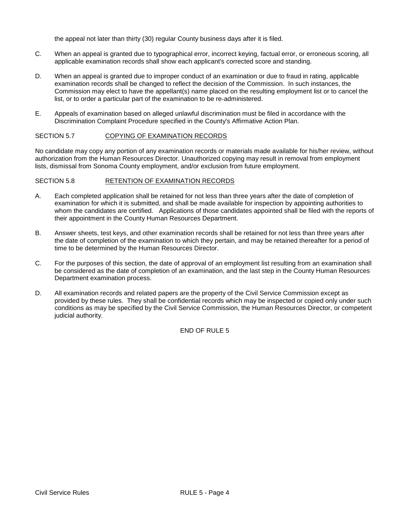the appeal not later than thirty (30) regular County business days after it is filed.

- C. When an appeal is granted due to typographical error, incorrect keying, factual error, or erroneous scoring, all applicable examination records shall show each applicant's corrected score and standing.
- D. When an appeal is granted due to improper conduct of an examination or due to fraud in rating, applicable examination records shall be changed to reflect the decision of the Commission. In such instances, the Commission may elect to have the appellant(s) name placed on the resulting employment list or to cancel the list, or to order a particular part of the examination to be re-administered.
- E. Appeals of examination based on alleged unlawful discrimination must be filed in accordance with the Discrimination Complaint Procedure specified in the County's Affirmative Action Plan.

# SECTION 5.7 COPYING OF EXAMINATION RECORDS

No candidate may copy any portion of any examination records or materials made available for his/her review, without authorization from the Human Resources Director. Unauthorized copying may result in removal from employment lists, dismissal from Sonoma County employment, and/or exclusion from future employment.

#### SECTION 5.8 RETENTION OF EXAMINATION RECORDS

- A. Each completed application shall be retained for not less than three years after the date of completion of examination for which it is submitted, and shall be made available for inspection by appointing authorities to whom the candidates are certified. Applications of those candidates appointed shall be filed with the reports of their appointment in the County Human Resources Department.
- B. Answer sheets, test keys, and other examination records shall be retained for not less than three years after the date of completion of the examination to which they pertain, and may be retained thereafter for a period of time to be determined by the Human Resources Director.
- C. For the purposes of this section, the date of approval of an employment list resulting from an examination shall be considered as the date of completion of an examination, and the last step in the County Human Resources Department examination process.
- D. All examination records and related papers are the property of the Civil Service Commission except as provided by these rules. They shall be confidential records which may be inspected or copied only under such conditions as may be specified by the Civil Service Commission, the Human Resources Director, or competent judicial authority.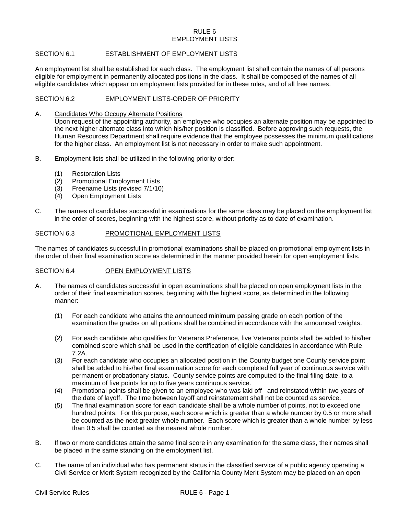# RULE 6 EMPLOYMENT LISTS

# SECTION 6.1 **ESTABLISHMENT OF EMPLOYMENT LISTS**

An employment list shall be established for each class. The employment list shall contain the names of all persons eligible for employment in permanently allocated positions in the class. It shall be composed of the names of all eligible candidates which appear on employment lists provided for in these rules, and of all free names.

# SECTION 6.2 EMPLOYMENT LISTS-ORDER OF PRIORITY

A. Candidates Who Occupy Alternate Positions

Upon request of the appointing authority, an employee who occupies an alternate position may be appointed to the next higher alternate class into which his/her position is classified. Before approving such requests, the Human Resources Department shall require evidence that the employee possesses the minimum qualifications for the higher class. An employment list is not necessary in order to make such appointment.

- B. Employment lists shall be utilized in the following priority order:
	- (1) Restoration Lists
	- (2) Promotional Employment Lists<br>(3) Freename Lists (revised 7/1/10
	- (3) Freename Lists (revised 7/1/10)
	- (4) Open Employment Lists
- C. The names of candidates successful in examinations for the same class may be placed on the employment list in the order of scores, beginning with the highest score, without priority as to date of examination.

# SECTION 6.3 PROMOTIONAL EMPLOYMENT LISTS

The names of candidates successful in promotional examinations shall be placed on promotional employment lists in the order of their final examination score as determined in the manner provided herein for open employment lists.

# SECTION 6.4 OPEN EMPLOYMENT LISTS

- A. The names of candidates successful in open examinations shall be placed on open employment lists in the order of their final examination scores, beginning with the highest score, as determined in the following manner:
	- (1) For each candidate who attains the announced minimum passing grade on each portion of the examination the grades on all portions shall be combined in accordance with the announced weights.
	- (2) For each candidate who qualifies for Veterans Preference, five Veterans points shall be added to his/her combined score which shall be used in the certification of eligible candidates in accordance with Rule 7.2A.
	- (3) For each candidate who occupies an allocated position in the County budget one County service point shall be added to his/her final examination score for each completed full year of continuous service with permanent or probationary status. County service points are computed to the final filing date, to a maximum of five points for up to five years continuous service.
	- (4) Promotional points shall be given to an employee who was laid off and reinstated within two years of the date of layoff. The time between layoff and reinstatement shall not be counted as service.
	- (5) The final examination score for each candidate shall be a whole number of points, not to exceed one hundred points. For this purpose, each score which is greater than a whole number by 0.5 or more shall be counted as the next greater whole number. Each score which is greater than a whole number by less than 0.5 shall be counted as the nearest whole number.
- B. If two or more candidates attain the same final score in any examination for the same class, their names shall be placed in the same standing on the employment list.
- C. The name of an individual who has permanent status in the classified service of a public agency operating a Civil Service or Merit System recognized by the California County Merit System may be placed on an open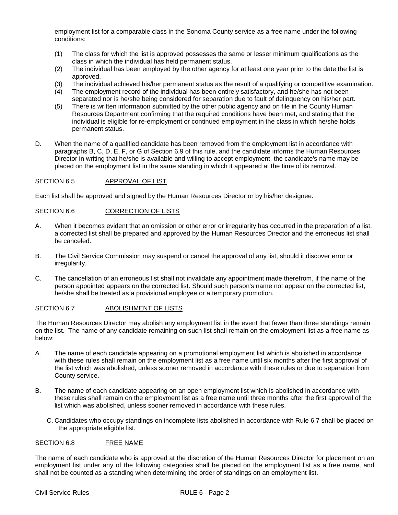employment list for a comparable class in the Sonoma County service as a free name under the following conditions:

- (1) The class for which the list is approved possesses the same or lesser minimum qualifications as the class in which the individual has held permanent status.
- (2) The individual has been employed by the other agency for at least one year prior to the date the list is approved.
- (3) The individual achieved his/her permanent status as the result of a qualifying or competitive examination.<br>(4) The employment record of the individual has been entirely satisfactory, and he/she has not been
- The employment record of the individual has been entirely satisfactory, and he/she has not been separated nor is he/she being considered for separation due to fault of delinquency on his/her part.
- (5) There is written information submitted by the other public agency and on file in the County Human Resources Department confirming that the required conditions have been met, and stating that the individual is eligible for re-employment or continued employment in the class in which he/she holds permanent status.
- D. When the name of a qualified candidate has been removed from the employment list in accordance with paragraphs B, C, D, E, F, or G of Section 6.9 of this rule, and the candidate informs the Human Resources Director in writing that he/she is available and willing to accept employment, the candidate's name may be placed on the employment list in the same standing in which it appeared at the time of its removal.

# SECTION 6.5 APPROVAL OF LIST

Each list shall be approved and signed by the Human Resources Director or by his/her designee.

# SECTION 6.6 CORRECTION OF LISTS

- A. When it becomes evident that an omission or other error or irregularity has occurred in the preparation of a list, a corrected list shall be prepared and approved by the Human Resources Director and the erroneous list shall be canceled.
- B. The Civil Service Commission may suspend or cancel the approval of any list, should it discover error or irregularity.
- C. The cancellation of an erroneous list shall not invalidate any appointment made therefrom, if the name of the person appointed appears on the corrected list. Should such person's name not appear on the corrected list, he/she shall be treated as a provisional employee or a temporary promotion.

# SECTION 6.7 ABOLISHMENT OF LISTS

The Human Resources Director may abolish any employment list in the event that fewer than three standings remain on the list. The name of any candidate remaining on such list shall remain on the employment list as a free name as below:

- A. The name of each candidate appearing on a promotional employment list which is abolished in accordance with these rules shall remain on the employment list as a free name until six months after the first approval of the list which was abolished, unless sooner removed in accordance with these rules or due to separation from County service.
- B. The name of each candidate appearing on an open employment list which is abolished in accordance with these rules shall remain on the employment list as a free name until three months after the first approval of the list which was abolished, unless sooner removed in accordance with these rules.
	- C. Candidates who occupy standings on incomplete lists abolished in accordance with Rule 6.7 shall be placed on the appropriate eligible list.

# SECTION 6.8 FREE NAME

The name of each candidate who is approved at the discretion of the Human Resources Director for placement on an employment list under any of the following categories shall be placed on the employment list as a free name, and shall not be counted as a standing when determining the order of standings on an employment list.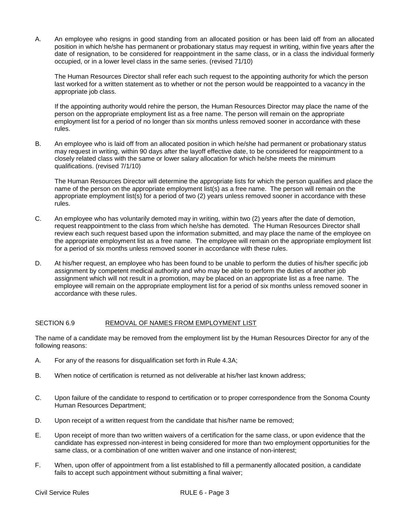A. An employee who resigns in good standing from an allocated position or has been laid off from an allocated position in which he/she has permanent or probationary status may request in writing, within five years after the date of resignation, to be considered for reappointment in the same class, or in a class the individual formerly occupied, or in a lower level class in the same series. (revised 71/10)

The Human Resources Director shall refer each such request to the appointing authority for which the person last worked for a written statement as to whether or not the person would be reappointed to a vacancy in the appropriate job class.

If the appointing authority would rehire the person, the Human Resources Director may place the name of the person on the appropriate employment list as a free name. The person will remain on the appropriate employment list for a period of no longer than six months unless removed sooner in accordance with these rules.

B. An employee who is laid off from an allocated position in which he/she had permanent or probationary status may request in writing, within 90 days after the layoff effective date, to be considered for reappointment to a closely related class with the same or lower salary allocation for which he/she meets the minimum qualifications. (revised 7/1/10)

The Human Resources Director will determine the appropriate lists for which the person qualifies and place the name of the person on the appropriate employment list(s) as a free name. The person will remain on the appropriate employment list(s) for a period of two (2) years unless removed sooner in accordance with these rules.

- C. An employee who has voluntarily demoted may in writing, within two (2) years after the date of demotion, request reappointment to the class from which he/she has demoted. The Human Resources Director shall review each such request based upon the information submitted, and may place the name of the employee on the appropriate employment list as a free name. The employee will remain on the appropriate employment list for a period of six months unless removed sooner in accordance with these rules.
- D. At his/her request, an employee who has been found to be unable to perform the duties of his/her specific job assignment by competent medical authority and who may be able to perform the duties of another job assignment which will not result in a promotion, may be placed on an appropriate list as a free name. The employee will remain on the appropriate employment list for a period of six months unless removed sooner in accordance with these rules.

# SECTION 6.9 REMOVAL OF NAMES FROM EMPLOYMENT LIST

The name of a candidate may be removed from the employment list by the Human Resources Director for any of the following reasons:

- A. For any of the reasons for disqualification set forth in Rule 4.3A;
- B. When notice of certification is returned as not deliverable at his/her last known address;
- C. Upon failure of the candidate to respond to certification or to proper correspondence from the Sonoma County Human Resources Department;
- D. Upon receipt of a written request from the candidate that his/her name be removed;
- E. Upon receipt of more than two written waivers of a certification for the same class, or upon evidence that the candidate has expressed non-interest in being considered for more than two employment opportunities for the same class, or a combination of one written waiver and one instance of non-interest;
- F. When, upon offer of appointment from a list established to fill a permanently allocated position, a candidate fails to accept such appointment without submitting a final waiver;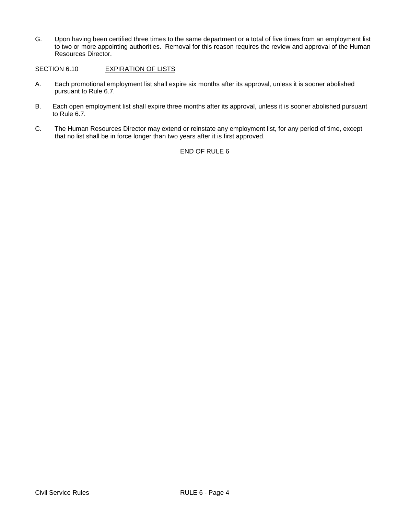G. Upon having been certified three times to the same department or a total of five times from an employment list to two or more appointing authorities. Removal for this reason requires the review and approval of the Human Resources Director.

SECTION 6.10 EXPIRATION OF LISTS

- A. Each promotional employment list shall expire six months after its approval, unless it is sooner abolished pursuant to Rule 6.7.
- B. Each open employment list shall expire three months after its approval, unless it is sooner abolished pursuant to Rule 6.7.
- C. The Human Resources Director may extend or reinstate any employment list, for any period of time, except that no list shall be in force longer than two years after it is first approved.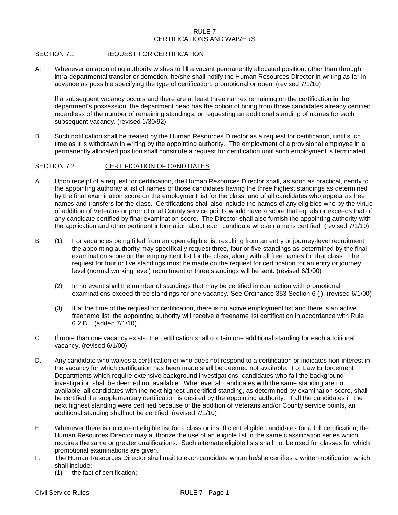# RULE 7 CERTIFICATIONS AND WAIVERS

# SECTION 7.1 REQUEST FOR CERTIFICATION

A. Whenever an appointing authority wishes to fill a vacant permanently allocated position, other than through intra-departmental transfer or demotion, he/she shall notify the Human Resources Director in writing as far in advance as possible specifying the type of certification, promotional or open. (revised 7/1/10)

If a subsequent vacancy occurs and there are at least three names remaining on the certification in the department's possession, the department head has the option of hiring from those candidates already certified regardless of the number of remaining standings, or requesting an additional standing of names for each subsequent vacancy. (revised 1/30/92)

B. Such notification shall be treated by the Human Resources Director as a request for certification, until such time as it is withdrawn in writing by the appointing authority. The employment of a provisional employee in a permanently allocated position shall constitute a request for certification until such employment is terminated.

# SECTION 7.2 CERTIFICATION OF CANDIDATES

- A. Upon receipt of a request for certification, the Human Resources Director shall, as soon as practical, certify to the appointing authority a list of names of those candidates having the three highest standings as determined by the final examination score on the employment list for the class, and of all candidates who appear as free names and transfers for the class. Certifications shall also include the names of any eligibles who by the virtue of addition of Veterans or promotional County service points would have a score that equals or exceeds that of any candidate certified by final examination score. The Director shall also furnish the appointing authority with the application and other pertinent information about each candidate whose name is certified. (revised 7/1/10)
- B. (1) For vacancies being filled from an open eligible list resulting from an entry or journey-level recruitment, the appointing authority may specifically request three, four or five standings as determined by the final examination score on the employment list for the class, along with all free names for that class. The request for four or five standings must be made on the request for certification for an entry or journey level (normal working level) recruitment or three standings will be sent. (revised 6/1/00)
	- (2) In no event shall the number of standings that may be certified in connection with promotional examinations exceed three standings for one vacancy. See Ordinance 353 Section 6 (j). (revised 6/1/00)
	- (3) If at the time of the request for certification, there is no active employment list and there is an active freename list, the appointing authority will receive a freename list certification in accordance with Rule 6.2 B. (added 7/1/10)
- C. If more than one vacancy exists, the certification shall contain one additional standing for each additional vacancy. (revised 6/1/00)
- D. Any candidate who waives a certification or who does not respond to a certification or indicates non-interest in the vacancy for which certification has been made shall be deemed not available. For Law Enforcement Departments which require extensive background investigations, candidates who fail the background investigation shall be deemed not available. Whenever all candidates with the same standing are not available, all candidates with the next highest uncertified standing, as determined by examination score, shall be certified if a supplementary certification is desired by the appointing authority. If all the candidates in the next highest standing were certified because of the addition of Veterans and/or County service points, an additional standing shall not be certified. (revised 7/1/10)
- E. Whenever there is no current eligible list for a class or insufficient eligible candidates for a full certification, the Human Resources Director may authorize the use of an eligible list in the same classification series which requires the same or greater qualifications. Such alternate eligible lists shall not be used for classes for which promotional examinations are given.
- F. The Human Resources Director shall mail to each candidate whom he/she certifies a written notification which shall include:
	- (1) the fact of certification;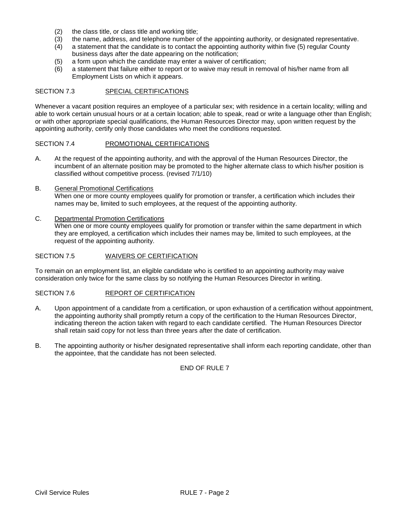- (2) the class title, or class title and working title;
- 
- (3) the name, address, and telephone number of the appointing authority, or designated representative.<br>(4) a statement that the candidate is to contact the appointing authority within five (5) regular County (4) a statement that the candidate is to contact the appointing authority within five (5) regular County business days after the date appearing on the notification;
- (5) a form upon which the candidate may enter a waiver of certification;
- (6) a statement that failure either to report or to waive may result in removal of his/her name from all Employment Lists on which it appears.

# SECTION 7.3 SPECIAL CERTIFICATIONS

Whenever a vacant position requires an employee of a particular sex; with residence in a certain locality; willing and able to work certain unusual hours or at a certain location; able to speak, read or write a language other than English; or with other appropriate special qualifications, the Human Resources Director may, upon written request by the appointing authority, certify only those candidates who meet the conditions requested.

# SECTION 7.4 PROMOTIONAL CERTIFICATIONS

A. At the request of the appointing authority, and with the approval of the Human Resources Director, the incumbent of an alternate position may be promoted to the higher alternate class to which his/her position is classified without competitive process. (revised 7/1/10)

# B. General Promotional Certifications When one or more county employees qualify for promotion or transfer, a certification which includes their names may be, limited to such employees, at the request of the appointing authority.

C. Departmental Promotion Certifications

When one or more county employees qualify for promotion or transfer within the same department in which they are employed, a certification which includes their names may be, limited to such employees, at the request of the appointing authority.

### SECTION 7.5 WAIVERS OF CERTIFICATION

To remain on an employment list, an eligible candidate who is certified to an appointing authority may waive consideration only twice for the same class by so notifying the Human Resources Director in writing.

# SECTION 7.6 REPORT OF CERTIFICATION

- A. Upon appointment of a candidate from a certification, or upon exhaustion of a certification without appointment, the appointing authority shall promptly return a copy of the certification to the Human Resources Director, indicating thereon the action taken with regard to each candidate certified. The Human Resources Director shall retain said copy for not less than three years after the date of certification.
- B. The appointing authority or his/her designated representative shall inform each reporting candidate, other than the appointee, that the candidate has not been selected.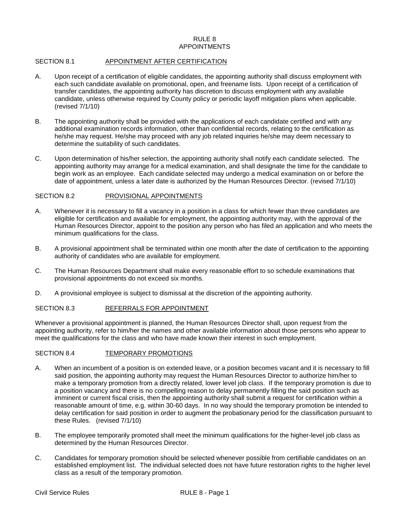## RULE 8 APPOINTMENTS

#### SECTION 8.1 APPOINTMENT AFTER CERTIFICATION

- A. Upon receipt of a certification of eligible candidates, the appointing authority shall discuss employment with each such candidate available on promotional, open, and freename lists. Upon receipt of a certification of transfer candidates, the appointing authority has discretion to discuss employment with any available candidate, unless otherwise required by County policy or periodic layoff mitigation plans when applicable. (revised 7/1/10)
- B. The appointing authority shall be provided with the applications of each candidate certified and with any additional examination records information, other than confidential records, relating to the certification as he/she may request. He/she may proceed with any job related inquiries he/she may deem necessary to determine the suitability of such candidates.
- C. Upon determination of his/her selection, the appointing authority shall notify each candidate selected. The appointing authority may arrange for a medical examination, and shall designate the time for the candidate to begin work as an employee. Each candidate selected may undergo a medical examination on or before the date of appointment, unless a later date is authorized by the Human Resources Director. (revised 7/1/10)

#### SECTION 8.2 PROVISIONAL APPOINTMENTS

- A. Whenever it is necessary to fill a vacancy in a position in a class for which fewer than three candidates are eligible for certification and available for employment, the appointing authority may, with the approval of the Human Resources Director, appoint to the position any person who has filed an application and who meets the minimum qualifications for the class.
- B. A provisional appointment shall be terminated within one month after the date of certification to the appointing authority of candidates who are available for employment.
- C. The Human Resources Department shall make every reasonable effort to so schedule examinations that provisional appointments do not exceed six months.
- D. A provisional employee is subject to dismissal at the discretion of the appointing authority.

## SECTION 8.3 REFERRALS FOR APPOINTMENT

Whenever a provisional appointment is planned, the Human Resources Director shall, upon request from the appointing authority, refer to him/her the names and other available information about those persons who appear to meet the qualifications for the class and who have made known their interest in such employment.

#### SECTION 8.4 TEMPORARY PROMOTIONS

- A. When an incumbent of a position is on extended leave, or a position becomes vacant and it is necessary to fill said position, the appointing authority may request the Human Resources Director to authorize him/her to make a temporary promotion from a directly related, lower level job class. If the temporary promotion is due to a position vacancy and there is no compelling reason to delay permanently filling the said position such as imminent or current fiscal crisis, then the appointing authority shall submit a request for certification within a reasonable amount of time, e.g. within 30-60 days. In no way should the temporary promotion be intended to delay certification for said position in order to augment the probationary period for the classification pursuant to these Rules. (revised 7/1/10)
- B. The employee temporarily promoted shall meet the minimum qualifications for the higher-level job class as determined by the Human Resources Director.
- C. Candidates for temporary promotion should be selected whenever possible from certifiable candidates on an established employment list. The individual selected does not have future restoration rights to the higher level class as a result of the temporary promotion.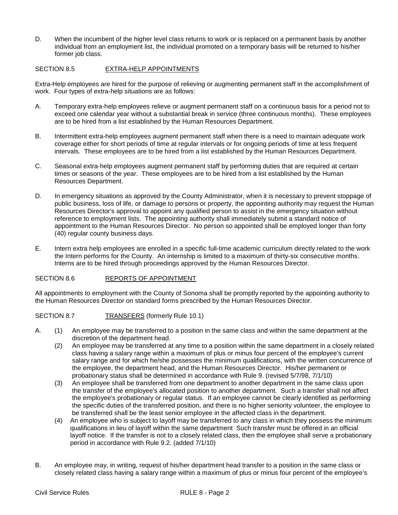D. When the incumbent of the higher level class returns to work or is replaced on a permanent basis by another individual from an employment list, the individual promoted on a temporary basis will be returned to his/her former job class.

# SECTION 8.5 EXTRA-HELP APPOINTMENTS

Extra-Help employees are hired for the purpose of relieving or augmenting permanent staff in the accomplishment of work. Four types of extra-help situations are as follows:

- A. Temporary extra-help employees relieve or augment permanent staff on a continuous basis for a period not to exceed one calendar year without a substantial break in service (three continuous months). These employees are to be hired from a list established by the Human Resources Department.
- B. Intermittent extra-help employees augment permanent staff when there is a need to maintain adequate work coverage either for short periods of time at regular intervals or for ongoing periods of time at less frequent intervals. These employees are to be hired from a list established by the Human Resources Department.
- C. Seasonal extra-help employees augment permanent staff by performing duties that are required at certain times or seasons of the year. These employees are to be hired from a list established by the Human Resources Department.
- D. In emergency situations as approved by the County Administrator, when it is necessary to prevent stoppage of public business, loss of life, or damage to persons or property, the appointing authority may request the Human Resources Director's approval to appoint any qualified person to assist in the emergency situation without reference to employment lists. The appointing authority shall immediately submit a standard notice of appointment to the Human Resources Director. No person so appointed shall be employed longer than forty (40) regular county business days.
- E. Intern extra help employees are enrolled in a specific full-time academic curriculum directly related to the work the Intern performs for the County. An internship is limited to a maximum of thirty-six consecutive months. Interns are to be hired through proceedings approved by the Human Resources Director.

# SECTION 8.6 REPORTS OF APPOINTMENT

All appointments to employment with the County of Sonoma shall be promptly reported by the appointing authority to the Human Resources Director on standard forms prescribed by the Human Resources Director.

# SECTION 8.7 TRANSFERS (formerly Rule 10.1)

- A. (1) An employee may be transferred to a position in the same class and within the same department at the discretion of the department head.
	- (2) An employee may be transferred at any time to a position within the same department in a closely related class having a salary range within a maximum of plus or minus four percent of the employee's current salary range and for which he/she possesses the minimum qualifications, with the written concurrence of the employee, the department head, and the Human Resources Director. His/her permanent or probationary status shall be determined in accordance with Rule 9. (revised 5/7/98, 7/1/10)
	- (3) An employee shall be transferred from one department to another department in the same class upon the transfer of the employee's allocated position to another department. Such a transfer shall not affect the employee's probationary or regular status. If an employee cannot be clearly identified as performing the specific duties of the transferred position, and there is no higher seniority volunteer, the employee to be transferred shall be the least senior employee in the affected class in the department.
	- (4) An employee who is subject to layoff may be transferred to any class in which they possess the minimum qualifications in lieu of layoff within the same department Such transfer must be offered in an official layoff notice. If the transfer is not to a closely related class, then the employee shall serve a probationary period in accordance with Rule 9.2. (added 7/1/10)
- B. An employee may, in writing, request of his/her department head transfer to a position in the same class or closely related class having a salary range within a maximum of plus or minus four percent of the employee's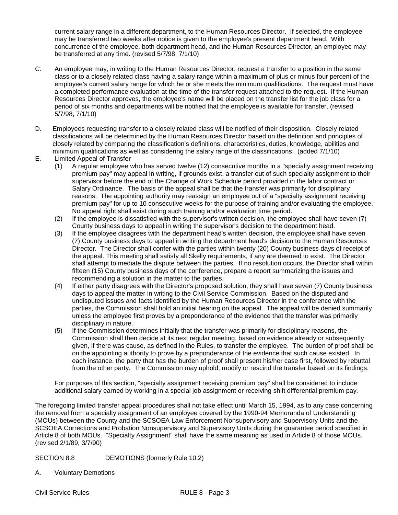current salary range in a different department, to the Human Resources Director. If selected, the employee may be transferred two weeks after notice is given to the employee's present department head. With concurrence of the employee, both department head, and the Human Resources Director, an employee may be transferred at any time. (revised 5/7/98, 7/1/10)

- C. An employee may, in writing to the Human Resources Director, request a transfer to a position in the same class or to a closely related class having a salary range within a maximum of plus or minus four percent of the employee's current salary range for which he or she meets the minimum qualifications. The request must have a completed performance evaluation at the time of the transfer request attached to the request. If the Human Resources Director approves, the employee's name will be placed on the transfer list for the job class for a period of six months and departments will be notified that the employee is available for transfer. (revised 5/7/98, 7/1/10)
- D. Employees requesting transfer to a closely related class will be notified of their disposition. Closely related classifications will be determined by the Human Resources Director based on the definition and principles of closely related by comparing the classification's definitions, characteristics, duties, knowledge, abilities and minimum qualifications as well as considering the salary range of the classifications. (added 7/1/10)
- E. Limited Appeal of Transfer
	- (1) A regular employee who has served twelve (12) consecutive months in a "specialty assignment receiving premium pay" may appeal in writing, if grounds exist, a transfer out of such specialty assignment to their supervisor before the end of the Change of Work Schedule period provided in the labor contract or Salary Ordinance. The basis of the appeal shall be that the transfer was primarily for disciplinary reasons. The appointing authority may reassign an employee out of a "specialty assignment receiving premium pay" for up to 10 consecutive weeks for the purpose of training and/or evaluating the employee. No appeal right shall exist during such training and/or evaluation time period.
	- (2) If the employee is dissatisfied with the supervisor's written decision, the employee shall have seven (7) County business days to appeal in writing the supervisor's decision to the department head.
	- (3) If the employee disagrees with the department head's written decision, the employee shall have seven (7) County business days to appeal in writing the department head's decision to the Human Resources Director. The Director shall confer with the parties within twenty (20) County business days of receipt of the appeal. This meeting shall satisfy all Skelly requirements, if any are deemed to exist. The Director shall attempt to mediate the dispute between the parties. If no resolution occurs, the Director shall within fifteen (15) County business days of the conference, prepare a report summarizing the issues and recommending a solution in the matter to the parties.
	- (4) If either party disagrees with the Director's proposed solution, they shall have seven (7) County business days to appeal the matter in writing to the Civil Service Commission. Based on the disputed and undisputed issues and facts identified by the Human Resources Director in the conference with the parties, the Commission shall hold an initial hearing on the appeal. The appeal will be denied summarily unless the employee first proves by a preponderance of the evidence that the transfer was primarily disciplinary in nature.
	- (5) If the Commission determines initially that the transfer was primarily for disciplinary reasons, the Commission shall then decide at its next regular meeting, based on evidence already or subsequently given, if there was cause, as defined in the Rules, to transfer the employee. The burden of proof shall be on the appointing authority to prove by a preponderance of the evidence that such cause existed. In each instance, the party that has the burden of proof shall present his/her case first, followed by rebuttal from the other party. The Commission may uphold, modify or rescind the transfer based on its findings.

For purposes of this section, "specialty assignment receiving premium pay" shall be considered to include additional salary earned by working in a special job assignment or receiving shift differential premium pay.

The foregoing limited transfer appeal procedures shall not take effect until March 15, 1994, as to any case concerning the removal from a specialty assignment of an employee covered by the 1990-94 Memoranda of Understanding (MOUs) between the County and the SCSOEA Law Enforcement Nonsupervisory and Supervisory Units and the SCSOEA Corrections and Probation Nonsupervisory and Supervisory Units during the guarantee period specified in Article 8 of both MOUs. "Specialty Assignment" shall have the same meaning as used in Article 8 of those MOUs. (revised 2/1/89, 3/7/90)

# SECTION 8.8 DEMOTIONS (formerly Rule 10.2)

A. Voluntary Demotions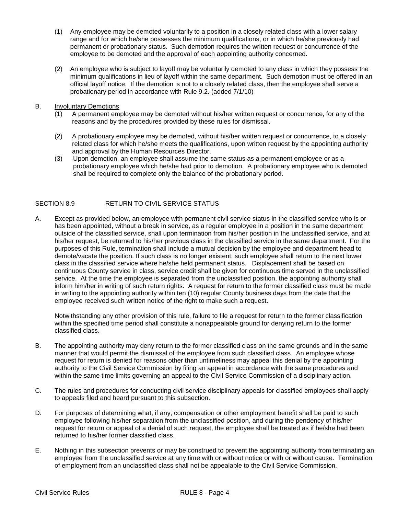- (1) Any employee may be demoted voluntarily to a position in a closely related class with a lower salary range and for which he/she possesses the minimum qualifications, or in which he/she previously had permanent or probationary status. Such demotion requires the written request or concurrence of the employee to be demoted and the approval of each appointing authority concerned.
- (2) An employee who is subject to layoff may be voluntarily demoted to any class in which they possess the minimum qualifications in lieu of layoff within the same department. Such demotion must be offered in an official layoff notice. If the demotion is not to a closely related class, then the employee shall serve a probationary period in accordance with Rule 9.2. (added 7/1/10)
- B. Involuntary Demotions
	- (1) A permanent employee may be demoted without his/her written request or concurrence, for any of the reasons and by the procedures provided by these rules for dismissal.
	- (2) A probationary employee may be demoted, without his/her written request or concurrence, to a closely related class for which he/she meets the qualifications, upon written request by the appointing authority and approval by the Human Resources Director.
	- (3) Upon demotion, an employee shall assume the same status as a permanent employee or as a probationary employee which he/she had prior to demotion. A probationary employee who is demoted shall be required to complete only the balance of the probationary period.

# SECTION 8.9 RETURN TO CIVIL SERVICE STATUS

A. Except as provided below, an employee with permanent civil service status in the classified service who is or has been appointed, without a break in service, as a regular employee in a position in the same department outside of the classified service, shall upon termination from his/her position in the unclassified service, and at his/her request, be returned to his/her previous class in the classified service in the same department. For the purposes of this Rule, termination shall include a mutual decision by the employee and department head to demote/vacate the position. If such class is no longer existent, such employee shall return to the next lower class in the classified service where he/she held permanent status. Displacement shall be based on continuous County service in class, service credit shall be given for continuous time served in the unclassified service. At the time the employee is separated from the unclassified position, the appointing authority shall inform him/her in writing of such return rights. A request for return to the former classified class must be made in writing to the appointing authority within ten (10) regular County business days from the date that the employee received such written notice of the right to make such a request.

Notwithstanding any other provision of this rule, failure to file a request for return to the former classification within the specified time period shall constitute a nonappealable ground for denying return to the former classified class.

- B. The appointing authority may deny return to the former classified class on the same grounds and in the same manner that would permit the dismissal of the employee from such classified class. An employee whose request for return is denied for reasons other than untimeliness may appeal this denial by the appointing authority to the Civil Service Commission by filing an appeal in accordance with the same procedures and within the same time limits governing an appeal to the Civil Service Commission of a disciplinary action.
- C. The rules and procedures for conducting civil service disciplinary appeals for classified employees shall apply to appeals filed and heard pursuant to this subsection.
- D. For purposes of determining what, if any, compensation or other employment benefit shall be paid to such employee following his/her separation from the unclassified position, and during the pendency of his/her request for return or appeal of a denial of such request, the employee shall be treated as if he/she had been returned to his/her former classified class.
- E. Nothing in this subsection prevents or may be construed to prevent the appointing authority from terminating an employee from the unclassified service at any time with or without notice or with or without cause. Termination of employment from an unclassified class shall not be appealable to the Civil Service Commission.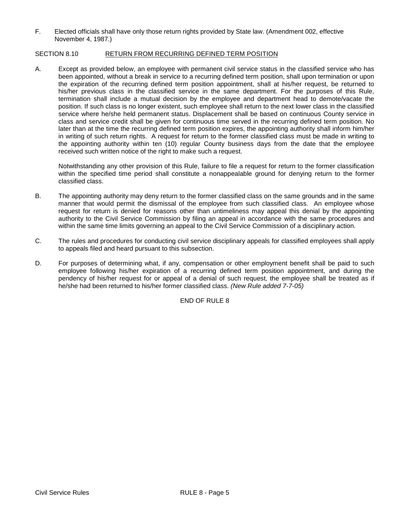F. Elected officials shall have only those return rights provided by State law. (Amendment 002, effective November 4, 1987.)

# SECTION 8.10 RETURN FROM RECURRING DEFINED TERM POSITION

A. Except as provided below, an employee with permanent civil service status in the classified service who has been appointed, without a break in service to a recurring defined term position, shall upon termination or upon the expiration of the recurring defined term position appointment, shall at his/her request, be returned to his/her previous class in the classified service in the same department. For the purposes of this Rule, termination shall include a mutual decision by the employee and department head to demote/vacate the position. If such class is no longer existent, such employee shall return to the next lower class in the classified service where he/she held permanent status. Displacement shall be based on continuous County service in class and service credit shall be given for continuous time served in the recurring defined term position. No later than at the time the recurring defined term position expires, the appointing authority shall inform him/her in writing of such return rights. A request for return to the former classified class must be made in writing to the appointing authority within ten (10) regular County business days from the date that the employee received such written notice of the right to make such a request.

Notwithstanding any other provision of this Rule, failure to file a request for return to the former classification within the specified time period shall constitute a nonappealable ground for denying return to the former classified class.

- B. The appointing authority may deny return to the former classified class on the same grounds and in the same manner that would permit the dismissal of the employee from such classified class. An employee whose request for return is denied for reasons other than untimeliness may appeal this denial by the appointing authority to the Civil Service Commission by filing an appeal in accordance with the same procedures and within the same time limits governing an appeal to the Civil Service Commission of a disciplinary action.
- C. The rules and procedures for conducting civil service disciplinary appeals for classified employees shall apply to appeals filed and heard pursuant to this subsection.
- D. For purposes of determining what, if any, compensation or other employment benefit shall be paid to such employee following his/her expiration of a recurring defined term position appointment, and during the pendency of his/her request for or appeal of a denial of such request, the employee shall be treated as if he/she had been returned to his/her former classified class. *(New Rule added 7-7-05)*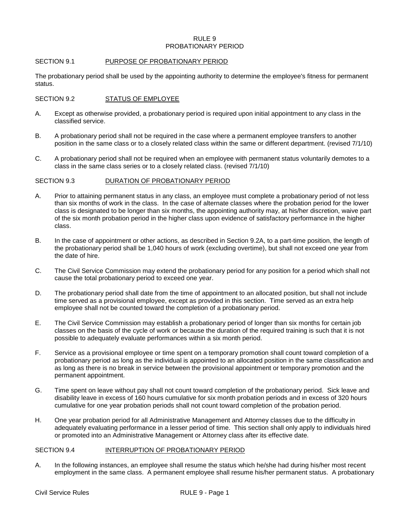#### RULE 9 PROBATIONARY PERIOD

# SECTION 9.1 PURPOSE OF PROBATIONARY PERIOD

The probationary period shall be used by the appointing authority to determine the employee's fitness for permanent status.

### SECTION 9.2 STATUS OF EMPLOYEE

- A. Except as otherwise provided, a probationary period is required upon initial appointment to any class in the classified service.
- B. A probationary period shall not be required in the case where a permanent employee transfers to another position in the same class or to a closely related class within the same or different department. (revised 7/1/10)
- C. A probationary period shall not be required when an employee with permanent status voluntarily demotes to a class in the same class series or to a closely related class. (revised 7/1/10)

#### SECTION 9.3 DURATION OF PROBATIONARY PERIOD

- A. Prior to attaining permanent status in any class, an employee must complete a probationary period of not less than six months of work in the class. In the case of alternate classes where the probation period for the lower class is designated to be longer than six months, the appointing authority may, at his/her discretion, waive part of the six month probation period in the higher class upon evidence of satisfactory performance in the higher class.
- B. In the case of appointment or other actions, as described in Section 9.2A, to a part-time position, the length of the probationary period shall be 1,040 hours of work (excluding overtime), but shall not exceed one year from the date of hire.
- C. The Civil Service Commission may extend the probationary period for any position for a period which shall not cause the total probationary period to exceed one year.
- D. The probationary period shall date from the time of appointment to an allocated position, but shall not include time served as a provisional employee, except as provided in this section. Time served as an extra help employee shall not be counted toward the completion of a probationary period.
- E. The Civil Service Commission may establish a probationary period of longer than six months for certain job classes on the basis of the cycle of work or because the duration of the required training is such that it is not possible to adequately evaluate performances within a six month period.
- F. Service as a provisional employee or time spent on a temporary promotion shall count toward completion of a probationary period as long as the individual is appointed to an allocated position in the same classification and as long as there is no break in service between the provisional appointment or temporary promotion and the permanent appointment.
- G. Time spent on leave without pay shall not count toward completion of the probationary period. Sick leave and disability leave in excess of 160 hours cumulative for six month probation periods and in excess of 320 hours cumulative for one year probation periods shall not count toward completion of the probation period.
- H. One year probation period for all Administrative Management and Attorney classes due to the difficulty in adequately evaluating performance in a lesser period of time. This section shall only apply to individuals hired or promoted into an Administrative Management or Attorney class after its effective date.

### SECTION 9.4 INTERRUPTION OF PROBATIONARY PERIOD

A. In the following instances, an employee shall resume the status which he/she had during his/her most recent employment in the same class. A permanent employee shall resume his/her permanent status. A probationary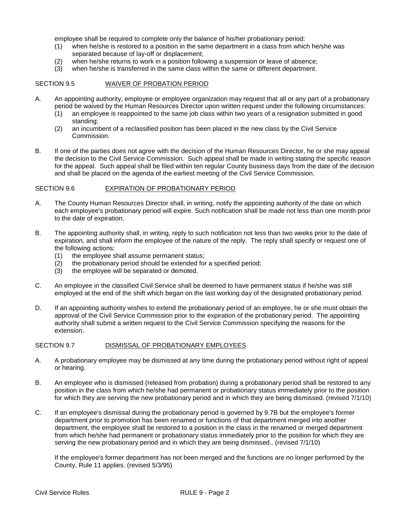employee shall be required to complete only the balance of his/her probationary period:

- (1) when he/she is restored to a position in the same department in a class from which he/she was separated because of lay-off or displacement;
- (2) when he/she returns to work in a position following a suspension or leave of absence;
- (3) when he/she is transferred in the same class within the same or different department.

# SECTION 9.5 WAIVER OF PROBATION PERIOD

- A. An appointing authority, employee or employee organization may request that all or any part of a probationary period be waived by the Human Resources Director upon written request under the following circumstances:
	- (1) an employee is reappointed to the same job class within two years of a resignation submitted in good standing;
	- (2) an incumbent of a reclassified position has been placed in the new class by the Civil Service Commission.
- B. If one of the parties does not agree with the decision of the Human Resources Director, he or she may appeal the decision to the Civil Service Commission. Such appeal shall be made in writing stating the specific reason for the appeal. Such appeal shall be filed within ten regular County business days from the date of the decision and shall be placed on the agenda of the earliest meeting of the Civil Service Commission.

#### SECTION 9.6 EXPIRATION OF PROBATIONARY PERIOD

- A. The County Human Resources Director shall, in writing, notify the appointing authority of the date on which each employee's probationary period will expire. Such notification shall be made not less than one month prior to the date of expiration.
- B. The appointing authority shall, in writing, reply to such notification not less than two weeks prior to the date of expiration, and shall inform the employee of the nature of the reply. The reply shall specify or request one of the following actions:
	- (1) the employee shall assume permanent status;<br>(2) the probationary period should be extended for
	- the probationary period should be extended for a specified period;
	- (3) the employee will be separated or demoted.
- C. An employee in the classified Civil Service shall be deemed to have permanent status if he/she was still employed at the end of the shift which began on the last working day of the designated probationary period.
- D. If an appointing authority wishes to extend the probationary period of an employee, he or she must obtain the approval of the Civil Service Commission prior to the expiration of the probationary period. The appointing authority shall submit a written request to the Civil Service Commission specifying the reasons for the extension.

#### SECTION 9.7 DISMISSAL OF PROBATIONARY EMPLOYEES

- A. A probationary employee may be dismissed at any time during the probationary period without right of appeal or hearing.
- B. An employee who is dismissed (released from probation) during a probationary period shall be restored to any position in the class from which he/she had permanent or probationary status immediately prior to the position for which they are serving the new probationary period and in which they are being dismissed. (revised 7/1/10)
- C. If an employee's dismissal during the probationary period is governed by 9.7B but the employee's former department prior to promotion has been renamed or functions of that department merged into another department, the employee shall be restored to a position in the class in the renamed or merged department from which he/she had permanent or probationary status immediately prior to the position for which they are serving the new probationary period and in which they are being dismissed.. (revised 7/1/10)

If the employee's former department has not been merged and the functions are no longer performed by the County, Rule 11 applies. (revised 5/3/95)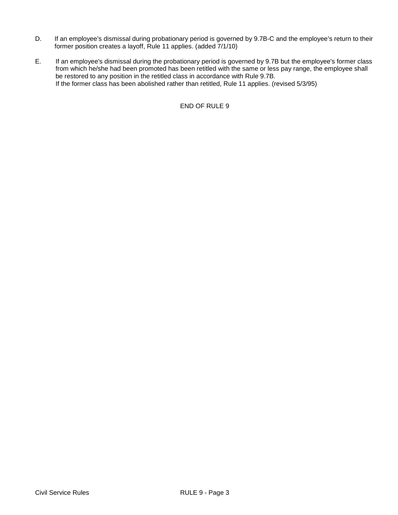- D. If an employee's dismissal during probationary period is governed by 9.7B-C and the employee's return to their former position creates a layoff, Rule 11 applies. (added 7/1/10)
- E. If an employee's dismissal during the probationary period is governed by 9.7B but the employee's former class from which he/she had been promoted has been retitled with the same or less pay range, the employee shall be restored to any position in the retitled class in accordance with Rule 9.7B. If the former class has been abolished rather than retitled, Rule 11 applies. (revised 5/3/95)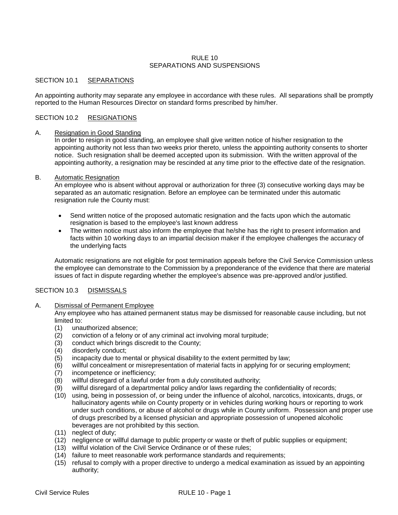# RULE 10 SEPARATIONS AND SUSPENSIONS

# SECTION 10.1 SEPARATIONS

An appointing authority may separate any employee in accordance with these rules. All separations shall be promptly reported to the Human Resources Director on standard forms prescribed by him/her.

# SECTION 10.2 RESIGNATIONS

# A. Resignation in Good Standing

In order to resign in good standing, an employee shall give written notice of his/her resignation to the appointing authority not less than two weeks prior thereto, unless the appointing authority consents to shorter notice. Such resignation shall be deemed accepted upon its submission. With the written approval of the appointing authority, a resignation may be rescinded at any time prior to the effective date of the resignation.

#### B. Automatic Resignation

An employee who is absent without approval or authorization for three (3) consecutive working days may be separated as an automatic resignation. Before an employee can be terminated under this automatic resignation rule the County must:

- Send written notice of the proposed automatic resignation and the facts upon which the automatic resignation is based to the employee's last known address
- The written notice must also inform the employee that he/she has the right to present information and facts within 10 working days to an impartial decision maker if the employee challenges the accuracy of the underlying facts

Automatic resignations are not eligible for post termination appeals before the Civil Service Commission unless the employee can demonstrate to the Commission by a preponderance of the evidence that there are material issues of fact in dispute regarding whether the employee's absence was pre-approved and/or justified.

# SECTION 10.3 DISMISSALS

#### A. Dismissal of Permanent Employee

Any employee who has attained permanent status may be dismissed for reasonable cause including, but not limited to:

- (1) unauthorized absence;
- (2) conviction of a felony or of any criminal act involving moral turpitude;
- (3) conduct which brings discredit to the County;
- disorderly conduct;
- (5) incapacity due to mental or physical disability to the extent permitted by law;
- (6) willful concealment or misrepresentation of material facts in applying for or securing employment;
- incompetence or inefficiency;
- (8) willful disregard of a lawful order from a duly constituted authority;
- (9) willful disregard of a departmental policy and/or laws regarding the confidentiality of records;
- (10) using, being in possession of, or being under the influence of alcohol, narcotics, intoxicants, drugs, or hallucinatory agents while on County property or in vehicles during working hours or reporting to work under such conditions, or abuse of alcohol or drugs while in County uniform. Possession and proper use of drugs prescribed by a licensed physician and appropriate possession of unopened alcoholic beverages are not prohibited by this section.
- (11) neglect of duty;
- (12) negligence or willful damage to public property or waste or theft of public supplies or equipment;
- (13) willful violation of the Civil Service Ordinance or of these rules;
- (14) failure to meet reasonable work performance standards and requirements;
- (15) refusal to comply with a proper directive to undergo a medical examination as issued by an appointing authority;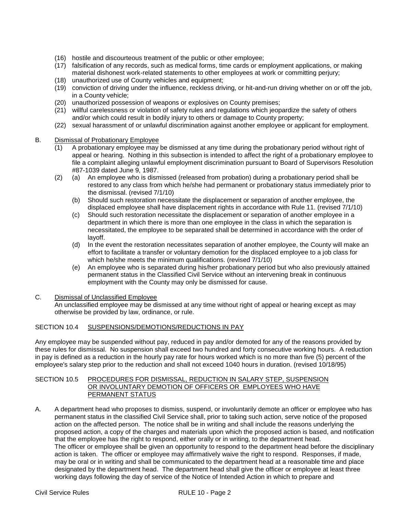- (16) hostile and discourteous treatment of the public or other employee;
- (17) falsification of any records, such as medical forms, time cards or employment applications, or making material dishonest work-related statements to other employees at work or committing perjury;
- (18) unauthorized use of County vehicles and equipment;
- (19) conviction of driving under the influence, reckless driving, or hit-and-run driving whether on or off the job, in a County vehicle;
- (20) unauthorized possession of weapons or explosives on County premises;
- (21) willful carelessness or violation of safety rules and regulations which jeopardize the safety of others and/or which could result in bodily injury to others or damage to County property;
- (22) sexual harassment of or unlawful discrimination against another employee or applicant for employment.

# B. Dismissal of Probationary Employee

- (1) A probationary employee may be dismissed at any time during the probationary period without right of appeal or hearing. Nothing in this subsection is intended to affect the right of a probationary employee to file a complaint alleging unlawful employment discrimination pursuant to Board of Supervisors Resolution #87-1039 dated June 9, 1987.
- (2) (a) An employee who is dismissed (released from probation) during a probationary period shall be restored to any class from which he/she had permanent or probationary status immediately prior to the dismissal. (revised 7/1/10)
	- (b) Should such restoration necessitate the displacement or separation of another employee, the displaced employee shall have displacement rights in accordance with Rule 11. (revised 7/1/10)
	- (c) Should such restoration necessitate the displacement or separation of another employee in a department in which there is more than one employee in the class in which the separation is necessitated, the employee to be separated shall be determined in accordance with the order of layoff.
	- (d) In the event the restoration necessitates separation of another employee, the County will make an effort to facilitate a transfer or voluntary demotion for the displaced employee to a job class for which he/she meets the minimum qualifications. (revised 7/1/10)
	- (e) An employee who is separated during his/her probationary period but who also previously attained permanent status in the Classified Civil Service without an intervening break in continuous employment with the County may only be dismissed for cause.

# C. Dismissal of Unclassified Employee

An unclassified employee may be dismissed at any time without right of appeal or hearing except as may otherwise be provided by law, ordinance, or rule.

# SECTION 10.4 SUSPENSIONS/DEMOTIONS/REDUCTIONS IN PAY

Any employee may be suspended without pay, reduced in pay and/or demoted for any of the reasons provided by these rules for dismissal. No suspension shall exceed two hundred and forty consecutive working hours. A reduction in pay is defined as a reduction in the hourly pay rate for hours worked which is no more than five (5) percent of the employee's salary step prior to the reduction and shall not exceed 1040 hours in duration. (revised 10/18/95)

### SECTION 10.5 PROCEDURES FOR DISMISSAL, REDUCTION IN SALARY STEP, SUSPENSION OR INVOLUNTARY DEMOTION OF OFFICERS OR EMPLOYEES WHO HAVE PERMANENT STATUS

A. A department head who proposes to dismiss, suspend, or involuntarily demote an officer or employee who has permanent status in the classified Civil Service shall, prior to taking such action, serve notice of the proposed action on the affected person. The notice shall be in writing and shall include the reasons underlying the proposed action, a copy of the charges and materials upon which the proposed action is based, and notification that the employee has the right to respond, either orally or in writing, to the department head. The officer or employee shall be given an opportunity to respond to the department head before the disciplinary action is taken. The officer or employee may affirmatively waive the right to respond. Responses, if made, may be oral or in writing and shall be communicated to the department head at a reasonable time and place designated by the department head. The department head shall give the officer or employee at least three working days following the day of service of the Notice of Intended Action in which to prepare and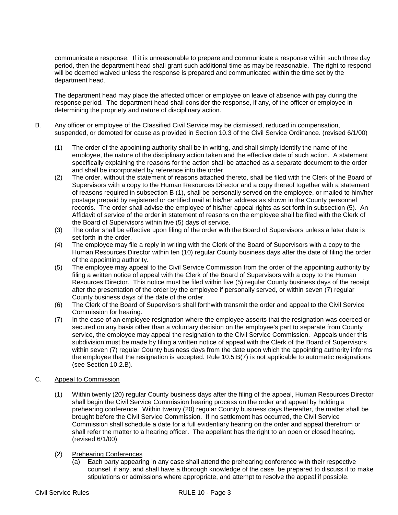communicate a response. If it is unreasonable to prepare and communicate a response within such three day period, then the department head shall grant such additional time as may be reasonable. The right to respond will be deemed waived unless the response is prepared and communicated within the time set by the department head.

The department head may place the affected officer or employee on leave of absence with pay during the response period. The department head shall consider the response, if any, of the officer or employee in determining the propriety and nature of disciplinary action.

- B. Any officer or employee of the Classified Civil Service may be dismissed, reduced in compensation, suspended, or demoted for cause as provided in Section 10.3 of the Civil Service Ordinance. (revised 6/1/00)
	- (1) The order of the appointing authority shall be in writing, and shall simply identify the name of the employee, the nature of the disciplinary action taken and the effective date of such action. A statement specifically explaining the reasons for the action shall be attached as a separate document to the order and shall be incorporated by reference into the order.
	- (2) The order, without the statement of reasons attached thereto, shall be filed with the Clerk of the Board of Supervisors with a copy to the Human Resources Director and a copy thereof together with a statement of reasons required in subsection B (1), shall be personally served on the employee, or mailed to him/her postage prepaid by registered or certified mail at his/her address as shown in the County personnel records. The order shall advise the employee of his/her appeal rights as set forth in subsection (5). An Affidavit of service of the order in statement of reasons on the employee shall be filed with the Clerk of the Board of Supervisors within five (5) days of service.
	- (3) The order shall be effective upon filing of the order with the Board of Supervisors unless a later date is set forth in the order.
	- (4) The employee may file a reply in writing with the Clerk of the Board of Supervisors with a copy to the Human Resources Director within ten (10) regular County business days after the date of filing the order of the appointing authority.
	- (5) The employee may appeal to the Civil Service Commission from the order of the appointing authority by filing a written notice of appeal with the Clerk of the Board of Supervisors with a copy to the Human Resources Director. This notice must be filed within five (5) regular County business days of the receipt after the presentation of the order by the employee if personally served, or within seven (7) regular County business days of the date of the order.
	- (6) The Clerk of the Board of Supervisors shall forthwith transmit the order and appeal to the Civil Service Commission for hearing.
	- (7) In the case of an employee resignation where the employee asserts that the resignation was coerced or secured on any basis other than a voluntary decision on the employee's part to separate from County service, the employee may appeal the resignation to the Civil Service Commission. Appeals under this subdivision must be made by filing a written notice of appeal with the Clerk of the Board of Supervisors within seven (7) regular County business days from the date upon which the appointing authority informs the employee that the resignation is accepted. Rule 10.5.B(7) is not applicable to automatic resignations (see Section 10.2.B).

# C. Appeal to Commission

- (1) Within twenty (20) regular County business days after the filing of the appeal, Human Resources Director shall begin the Civil Service Commission hearing process on the order and appeal by holding a prehearing conference. Within twenty (20) regular County business days thereafter, the matter shall be brought before the Civil Service Commission. If no settlement has occurred, the Civil Service Commission shall schedule a date for a full evidentiary hearing on the order and appeal therefrom or shall refer the matter to a hearing officer. The appellant has the right to an open or closed hearing. (revised 6/1/00)
- (2) Prehearing Conferences
	- (a) Each party appearing in any case shall attend the prehearing conference with their respective counsel, if any, and shall have a thorough knowledge of the case, be prepared to discuss it to make stipulations or admissions where appropriate, and attempt to resolve the appeal if possible.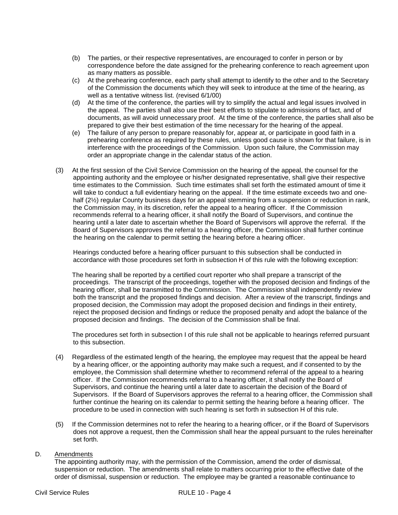- (b) The parties, or their respective representatives, are encouraged to confer in person or by correspondence before the date assigned for the prehearing conference to reach agreement upon as many matters as possible.
- (c) At the prehearing conference, each party shall attempt to identify to the other and to the Secretary of the Commission the documents which they will seek to introduce at the time of the hearing, as well as a tentative witness list. (revised 6/1/00)
- (d) At the time of the conference, the parties will try to simplify the actual and legal issues involved in the appeal. The parties shall also use their best efforts to stipulate to admissions of fact, and of documents, as will avoid unnecessary proof. At the time of the conference, the parties shall also be prepared to give their best estimation of the time necessary for the hearing of the appeal.
- (e) The failure of any person to prepare reasonably for, appear at, or participate in good faith in a prehearing conference as required by these rules, unless good cause is shown for that failure, is in interference with the proceedings of the Commission. Upon such failure, the Commission may order an appropriate change in the calendar status of the action.
- (3) At the first session of the Civil Service Commission on the hearing of the appeal, the counsel for the appointing authority and the employee or his/her designated representative, shall give their respective time estimates to the Commission. Such time estimates shall set forth the estimated amount of time it will take to conduct a full evidentiary hearing on the appeal. If the time estimate exceeds two and onehalf (2<sup>1</sup>/<sub>2</sub>) regular County business days for an appeal stemming from a suspension or reduction in rank, the Commission may, in its discretion, refer the appeal to a hearing officer. If the Commission recommends referral to a hearing officer, it shall notify the Board of Supervisors, and continue the hearing until a later date to ascertain whether the Board of Supervisors will approve the referral. If the Board of Supervisors approves the referral to a hearing officer, the Commission shall further continue the hearing on the calendar to permit setting the hearing before a hearing officer.

 Hearings conducted before a hearing officer pursuant to this subsection shall be conducted in accordance with those procedures set forth in subsection H of this rule with the following exception:

The hearing shall be reported by a certified court reporter who shall prepare a transcript of the proceedings. The transcript of the proceedings, together with the proposed decision and findings of the hearing officer, shall be transmitted to the Commission. The Commission shall independently review both the transcript and the proposed findings and decision. After a review of the transcript, findings and proposed decision, the Commission may adopt the proposed decision and findings in their entirety, reject the proposed decision and findings or reduce the proposed penalty and adopt the balance of the proposed decision and findings. The decision of the Commission shall be final.

The procedures set forth in subsection I of this rule shall not be applicable to hearings referred pursuant to this subsection.

- (4) Regardless of the estimated length of the hearing, the employee may request that the appeal be heard by a hearing officer, or the appointing authority may make such a request, and if consented to by the employee, the Commission shall determine whether to recommend referral of the appeal to a hearing officer. If the Commission recommends referral to a hearing officer, it shall notify the Board of Supervisors, and continue the hearing until a later date to ascertain the decision of the Board of Supervisors. If the Board of Supervisors approves the referral to a hearing officer, the Commission shall further continue the hearing on its calendar to permit setting the hearing before a hearing officer. The procedure to be used in connection with such hearing is set forth in subsection H of this rule.
- (5) If the Commission determines not to refer the hearing to a hearing officer, or if the Board of Supervisors does not approve a request, then the Commission shall hear the appeal pursuant to the rules hereinafter set forth.

# D. Amendments

The appointing authority may, with the permission of the Commission, amend the order of dismissal, suspension or reduction. The amendments shall relate to matters occurring prior to the effective date of the order of dismissal, suspension or reduction. The employee may be granted a reasonable continuance to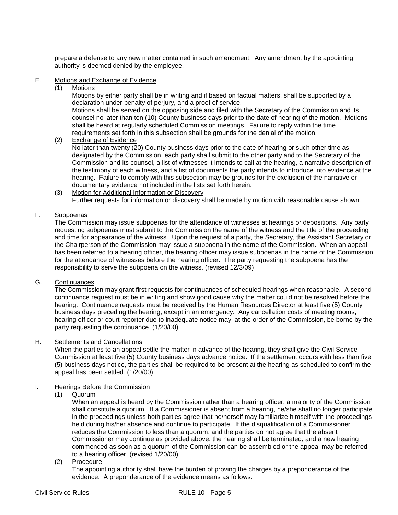prepare a defense to any new matter contained in such amendment. Any amendment by the appointing authority is deemed denied by the employee.

# E. Motions and Exchange of Evidence

(1) Motions

Motions by either party shall be in writing and if based on factual matters, shall be supported by a declaration under penalty of perjury, and a proof of service.

Motions shall be served on the opposing side and filed with the Secretary of the Commission and its counsel no later than ten (10) County business days prior to the date of hearing of the motion. Motions shall be heard at regularly scheduled Commission meetings. Failure to reply within the time requirements set forth in this subsection shall be grounds for the denial of the motion.

(2) Exchange of Evidence

No later than twenty (20) County business days prior to the date of hearing or such other time as designated by the Commission, each party shall submit to the other party and to the Secretary of the Commission and its counsel, a list of witnesses it intends to call at the hearing, a narrative description of the testimony of each witness, and a list of documents the party intends to introduce into evidence at the hearing. Failure to comply with this subsection may be grounds for the exclusion of the narrative or documentary evidence not included in the lists set forth herein.

(3) Motion for Additional Information or Discovery Further requests for information or discovery shall be made by motion with reasonable cause shown.

# F. Subpoenas

The Commission may issue subpoenas for the attendance of witnesses at hearings or depositions. Any party requesting subpoenas must submit to the Commission the name of the witness and the title of the proceeding and time for appearance of the witness. Upon the request of a party, the Secretary, the Assistant Secretary or the Chairperson of the Commission may issue a subpoena in the name of the Commission. When an appeal has been referred to a hearing officer, the hearing officer may issue subpoenas in the name of the Commission for the attendance of witnesses before the hearing officer. The party requesting the subpoena has the responsibility to serve the subpoena on the witness. (revised 12/3/09)

# G. Continuances

The Commission may grant first requests for continuances of scheduled hearings when reasonable. A second continuance request must be in writing and show good cause why the matter could not be resolved before the hearing. Continuance requests must be received by the Human Resources Director at least five (5) County business days preceding the hearing, except in an emergency. Any cancellation costs of meeting rooms, hearing officer or court reporter due to inadequate notice may, at the order of the Commission, be borne by the party requesting the continuance. (1/20/00)

# H. Settlements and Cancellations

When the parties to an appeal settle the matter in advance of the hearing, they shall give the Civil Service Commission at least five (5) County business days advance notice. If the settlement occurs with less than five (5) business days notice, the parties shall be required to be present at the hearing as scheduled to confirm the appeal has been settled. (1/20/00)

# I. Hearings Before the Commission

(1) Quorum

When an appeal is heard by the Commission rather than a hearing officer, a majority of the Commission shall constitute a quorum. If a Commissioner is absent from a hearing, he/she shall no longer participate in the proceedings unless both parties agree that he/herself may familiarize himself with the proceedings held during his/her absence and continue to participate. If the disqualification of a Commissioner reduces the Commission to less than a quorum, and the parties do not agree that the absent Commissioner may continue as provided above, the hearing shall be terminated, and a new hearing commenced as soon as a quorum of the Commission can be assembled or the appeal may be referred to a hearing officer. (revised 1/20/00)

(2) Procedure

The appointing authority shall have the burden of proving the charges by a preponderance of the evidence. A preponderance of the evidence means as follows: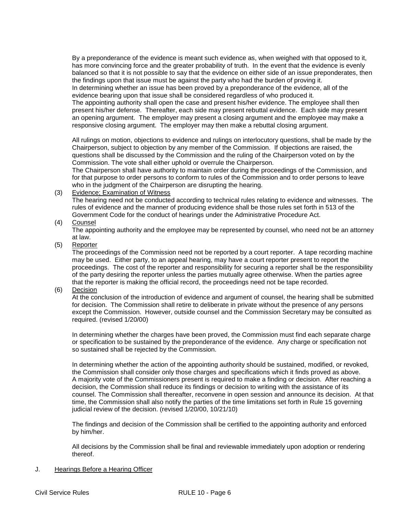By a preponderance of the evidence is meant such evidence as, when weighed with that opposed to it, has more convincing force and the greater probability of truth. In the event that the evidence is evenly balanced so that it is not possible to say that the evidence on either side of an issue preponderates, then the findings upon that issue must be against the party who had the burden of proving it. In determining whether an issue has been proved by a preponderance of the evidence, all of the evidence bearing upon that issue shall be considered regardless of who produced it. The appointing authority shall open the case and present his/her evidence. The employee shall then present his/her defense. Thereafter, each side may present rebuttal evidence. Each side may present an opening argument. The employer may present a closing argument and the employee may make a responsive closing argument. The employer may then make a rebuttal closing argument.

All rulings on motion, objections to evidence and rulings on interlocutory questions, shall be made by the Chairperson, subject to objection by any member of the Commission. If objections are raised, the questions shall be discussed by the Commission and the ruling of the Chairperson voted on by the Commission. The vote shall either uphold or overrule the Chairperson.

The Chairperson shall have authority to maintain order during the proceedings of the Commission, and for that purpose to order persons to conform to rules of the Commission and to order persons to leave who in the judgment of the Chairperson are disrupting the hearing.

(3) Evidence; Examination of Witness

The hearing need not be conducted according to technical rules relating to evidence and witnesses. The rules of evidence and the manner of producing evidence shall be those rules set forth in 513 of the Government Code for the conduct of hearings under the Administrative Procedure Act.

(4) Counsel

The appointing authority and the employee may be represented by counsel, who need not be an attorney at law.

(5) Reporter

The proceedings of the Commission need not be reported by a court reporter. A tape recording machine may be used. Either party, to an appeal hearing, may have a court reporter present to report the proceedings. The cost of the reporter and responsibility for securing a reporter shall be the responsibility of the party desiring the reporter unless the parties mutually agree otherwise. When the parties agree that the reporter is making the official record, the proceedings need not be tape recorded.

(6) Decision

At the conclusion of the introduction of evidence and argument of counsel, the hearing shall be submitted for decision. The Commission shall retire to deliberate in private without the presence of any persons except the Commission. However, outside counsel and the Commission Secretary may be consulted as required. (revised 1/20/00)

In determining whether the charges have been proved, the Commission must find each separate charge or specification to be sustained by the preponderance of the evidence. Any charge or specification not so sustained shall be rejected by the Commission.

In determining whether the action of the appointing authority should be sustained, modified, or revoked, the Commission shall consider only those charges and specifications which it finds proved as above. A majority vote of the Commissioners present is required to make a finding or decision. After reaching a decision, the Commission shall reduce its findings or decision to writing with the assistance of its counsel. The Commission shall thereafter, reconvene in open session and announce its decision. At that time, the Commission shall also notify the parties of the time limitations set forth in Rule 15 governing judicial review of the decision. (revised 1/20/00, 10/21/10)

The findings and decision of the Commission shall be certified to the appointing authority and enforced by him/her.

All decisions by the Commission shall be final and reviewable immediately upon adoption or rendering thereof.

J. Hearings Before a Hearing Officer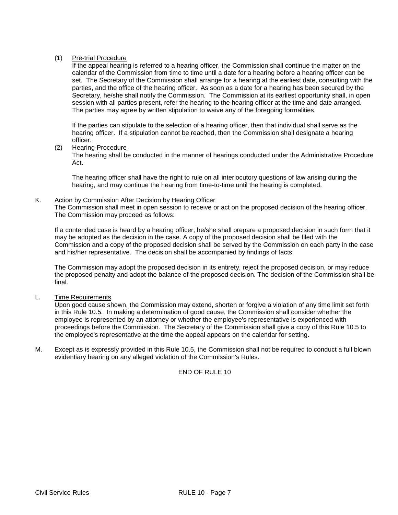# (1) Pre-trial Procedure

If the appeal hearing is referred to a hearing officer, the Commission shall continue the matter on the calendar of the Commission from time to time until a date for a hearing before a hearing officer can be set. The Secretary of the Commission shall arrange for a hearing at the earliest date, consulting with the parties, and the office of the hearing officer. As soon as a date for a hearing has been secured by the Secretary, he/she shall notify the Commission. The Commission at its earliest opportunity shall, in open session with all parties present, refer the hearing to the hearing officer at the time and date arranged. The parties may agree by written stipulation to waive any of the foregoing formalities.

If the parties can stipulate to the selection of a hearing officer, then that individual shall serve as the hearing officer. If a stipulation cannot be reached, then the Commission shall designate a hearing officer.

# (2) Hearing Procedure

The hearing shall be conducted in the manner of hearings conducted under the Administrative Procedure Act.

The hearing officer shall have the right to rule on all interlocutory questions of law arising during the hearing, and may continue the hearing from time-to-time until the hearing is completed.

# K. Action by Commission After Decision by Hearing Officer

The Commission shall meet in open session to receive or act on the proposed decision of the hearing officer. The Commission may proceed as follows:

If a contended case is heard by a hearing officer, he/she shall prepare a proposed decision in such form that it may be adopted as the decision in the case. A copy of the proposed decision shall be filed with the Commission and a copy of the proposed decision shall be served by the Commission on each party in the case and his/her representative. The decision shall be accompanied by findings of facts.

The Commission may adopt the proposed decision in its entirety, reject the proposed decision, or may reduce the proposed penalty and adopt the balance of the proposed decision. The decision of the Commission shall be final.

# L. Time Requirements

Upon good cause shown, the Commission may extend, shorten or forgive a violation of any time limit set forth in this Rule 10.5. In making a determination of good cause, the Commission shall consider whether the employee is represented by an attorney or whether the employee's representative is experienced with proceedings before the Commission. The Secretary of the Commission shall give a copy of this Rule 10.5 to the employee's representative at the time the appeal appears on the calendar for setting.

M. Except as is expressly provided in this Rule 10.5, the Commission shall not be required to conduct a full blown evidentiary hearing on any alleged violation of the Commission's Rules.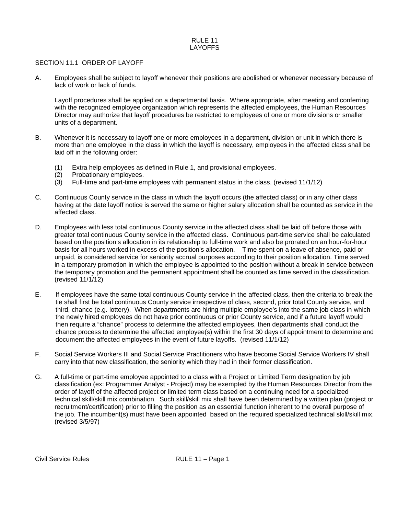#### RULE 11 LAYOFFS

## SECTION 11.1 ORDER OF LAYOFF

A. Employees shall be subject to layoff whenever their positions are abolished or whenever necessary because of lack of work or lack of funds.

Layoff procedures shall be applied on a departmental basis. Where appropriate, after meeting and conferring with the recognized employee organization which represents the affected employees, the Human Resources Director may authorize that layoff procedures be restricted to employees of one or more divisions or smaller units of a department.

- B. Whenever it is necessary to layoff one or more employees in a department, division or unit in which there is more than one employee in the class in which the layoff is necessary, employees in the affected class shall be laid off in the following order:
	- (1) Extra help employees as defined in Rule 1, and provisional employees.
	- Probationary employees.
	- (3) Full-time and part-time employees with permanent status in the class. (revised 11/1/12)
- C. Continuous County service in the class in which the layoff occurs (the affected class) or in any other class having at the date layoff notice is served the same or higher salary allocation shall be counted as service in the affected class.
- D. Employees with less total continuous County service in the affected class shall be laid off before those with greater total continuous County service in the affected class. Continuous part-time service shall be calculated based on the position's allocation in its relationship to full-time work and also be prorated on an hour-for-hour basis for all hours worked in excess of the position's allocation. Time spent on a leave of absence, paid or unpaid, is considered service for seniority accrual purposes according to their position allocation. Time served in a temporary promotion in which the employee is appointed to the position without a break in service between the temporary promotion and the permanent appointment shall be counted as time served in the classification. (revised 11/1/12)
- E. If employees have the same total continuous County service in the affected class, then the criteria to break the tie shall first be total continuous County service irrespective of class, second, prior total County service, and third, chance (e.g. lottery). When departments are hiring multiple employee's into the same job class in which the newly hired employees do not have prior continuous or prior County service, and if a future layoff would then require a "chance" process to determine the affected employees, then departments shall conduct the chance process to determine the affected employee(s) within the first 30 days of appointment to determine and document the affected employees in the event of future layoffs. (revised 11/1/12)
- F. Social Service Workers III and Social Service Practitioners who have become Social Service Workers IV shall carry into that new classification, the seniority which they had in their former classification.
- G. A full-time or part-time employee appointed to a class with a Project or Limited Term designation by job classification (ex: Programmer Analyst - Project) may be exempted by the Human Resources Director from the order of layoff of the affected project or limited term class based on a continuing need for a specialized technical skill/skill mix combination. Such skill/skill mix shall have been determined by a written plan (project or recruitment/certification) prior to filling the position as an essential function inherent to the overall purpose of the job. The incumbent(s) must have been appointed based on the required specialized technical skill/skill mix. (revised 3/5/97)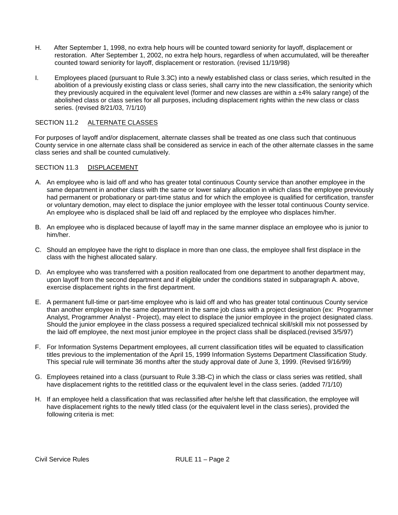- H. After September 1, 1998, no extra help hours will be counted toward seniority for layoff, displacement or restoration. After September 1, 2002, no extra help hours, regardless of when accumulated, will be thereafter counted toward seniority for layoff, displacement or restoration. (revised 11/19/98)
- I. Employees placed (pursuant to Rule 3.3C) into a newly established class or class series, which resulted in the abolition of a previously existing class or class series, shall carry into the new classification, the seniority which they previously acquired in the equivalent level (former and new classes are within a  $±4\%$  salary range) of the abolished class or class series for all purposes, including displacement rights within the new class or class series. (revised 8/21/03, 7/1/10)

# SECTION 11.2 ALTERNATE CLASSES

For purposes of layoff and/or displacement, alternate classes shall be treated as one class such that continuous County service in one alternate class shall be considered as service in each of the other alternate classes in the same class series and shall be counted cumulatively.

# SECTION 11.3 DISPLACEMENT

- A. An employee who is laid off and who has greater total continuous County service than another employee in the same department in another class with the same or lower salary allocation in which class the employee previously had permanent or probationary or part-time status and for which the employee is qualified for certification, transfer or voluntary demotion, may elect to displace the junior employee with the lesser total continuous County service. An employee who is displaced shall be laid off and replaced by the employee who displaces him/her.
- B. An employee who is displaced because of layoff may in the same manner displace an employee who is junior to him/her.
- C. Should an employee have the right to displace in more than one class, the employee shall first displace in the class with the highest allocated salary.
- D. An employee who was transferred with a position reallocated from one department to another department may, upon layoff from the second department and if eligible under the conditions stated in subparagraph A. above, exercise displacement rights in the first department.
- E. A permanent full-time or part-time employee who is laid off and who has greater total continuous County service than another employee in the same department in the same job class with a project designation (ex: Programmer Analyst, Programmer Analyst - Project), may elect to displace the junior employee in the project designated class. Should the junior employee in the class possess a required specialized technical skill/skill mix not possessed by the laid off employee, the next most junior employee in the project class shall be displaced.(revised 3/5/97)
- F. For Information Systems Department employees, all current classification titles will be equated to classification titles previous to the implementation of the April 15, 1999 Information Systems Department Classification Study. This special rule will terminate 36 months after the study approval date of June 3, 1999. (Revised 9/16/99)
- G. Employees retained into a class (pursuant to Rule 3.3B-C) in which the class or class series was retitled, shall have displacement rights to the retititled class or the equivalent level in the class series. (added 7/1/10)
- H. If an employee held a classification that was reclassified after he/she left that classification, the employee will have displacement rights to the newly titled class (or the equivalent level in the class series), provided the following criteria is met: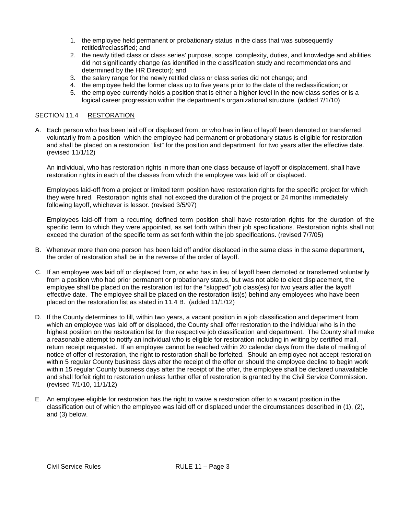- 1. the employee held permanent or probationary status in the class that was subsequently retitled/reclassified; and
- 2. the newly titled class or class series' purpose, scope, complexity, duties, and knowledge and abilities did not significantly change (as identified in the classification study and recommendations and determined by the HR Director); and
- 3. the salary range for the newly retitled class or class series did not change; and
- 4. the employee held the former class up to five years prior to the date of the reclassification; or
- 5. the employee currently holds a position that is either a higher level in the new class series or is a logical career progression within the department's organizational structure. (added 7/1/10)

# SECTION 11.4 RESTORATION

A. Each person who has been laid off or displaced from, or who has in lieu of layoff been demoted or transferred voluntarily from a position which the employee had permanent or probationary status is eligible for restoration and shall be placed on a restoration "list" for the position and department for two years after the effective date. (revised 11/1/12)

An individual, who has restoration rights in more than one class because of layoff or displacement, shall have restoration rights in each of the classes from which the employee was laid off or displaced.

Employees laid-off from a project or limited term position have restoration rights for the specific project for which they were hired. Restoration rights shall not exceed the duration of the project or 24 months immediately following layoff, whichever is lessor. (revised 3/5/97)

Employees laid-off from a recurring defined term position shall have restoration rights for the duration of the specific term to which they were appointed, as set forth within their job specifications. Restoration rights shall not exceed the duration of the specific term as set forth within the job specifications. (revised 7/7/05)

- B. Whenever more than one person has been laid off and/or displaced in the same class in the same department, the order of restoration shall be in the reverse of the order of layoff.
- C. If an employee was laid off or displaced from, or who has in lieu of layoff been demoted or transferred voluntarily from a position who had prior permanent or probationary status, but was not able to elect displacement, the employee shall be placed on the restoration list for the "skipped" job class(es) for two years after the layoff effective date. The employee shall be placed on the restoration list(s) behind any employees who have been placed on the restoration list as stated in 11.4 B. (added 11/1/12)
- D. If the County determines to fill, within two years, a vacant position in a job classification and department from which an employee was laid off or displaced, the County shall offer restoration to the individual who is in the highest position on the restoration list for the respective job classification and department. The County shall make a reasonable attempt to notify an individual who is eligible for restoration including in writing by certified mail, return receipt requested. If an employee cannot be reached within 20 calendar days from the date of mailing of notice of offer of restoration, the right to restoration shall be forfeited. Should an employee not accept restoration within 5 regular County business days after the receipt of the offer or should the employee decline to begin work within 15 regular County business days after the receipt of the offer, the employee shall be declared unavailable and shall forfeit right to restoration unless further offer of restoration is granted by the Civil Service Commission. (revised 7/1/10, 11/1/12)
- E. An employee eligible for restoration has the right to waive a restoration offer to a vacant position in the classification out of which the employee was laid off or displaced under the circumstances described in (1), (2), and (3) below.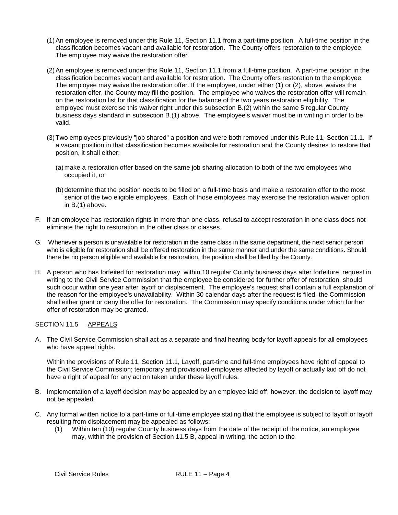- (1)An employee is removed under this Rule 11, Section 11.1 from a part-time position. A full-time position in the classification becomes vacant and available for restoration. The County offers restoration to the employee. The employee may waive the restoration offer.
- (2)An employee is removed under this Rule 11, Section 11.1 from a full-time position. A part-time position in the classification becomes vacant and available for restoration. The County offers restoration to the employee. The employee may waive the restoration offer. If the employee, under either (1) or (2), above, waives the restoration offer, the County may fill the position. The employee who waives the restoration offer will remain on the restoration list for that classification for the balance of the two years restoration eligibility. The employee must exercise this waiver right under this subsection B.(2) within the same 5 regular County business days standard in subsection B.(1) above. The employee's waiver must be in writing in order to be valid.
- (3)Two employees previously "job shared" a position and were both removed under this Rule 11, Section 11.1. If a vacant position in that classification becomes available for restoration and the County desires to restore that position, it shall either:
	- (a)make a restoration offer based on the same job sharing allocation to both of the two employees who occupied it, or
	- (b)determine that the position needs to be filled on a full-time basis and make a restoration offer to the most senior of the two eligible employees. Each of those employees may exercise the restoration waiver option in B.(1) above.
- F. If an employee has restoration rights in more than one class, refusal to accept restoration in one class does not eliminate the right to restoration in the other class or classes.
- G. Whenever a person is unavailable for restoration in the same class in the same department, the next senior person who is eligible for restoration shall be offered restoration in the same manner and under the same conditions. Should there be no person eligible and available for restoration, the position shall be filled by the County.
- H. A person who has forfeited for restoration may, within 10 regular County business days after forfeiture, request in writing to the Civil Service Commission that the employee be considered for further offer of restoration, should such occur within one year after layoff or displacement. The employee's request shall contain a full explanation of the reason for the employee's unavailability. Within 30 calendar days after the request is filed, the Commission shall either grant or deny the offer for restoration. The Commission may specify conditions under which further offer of restoration may be granted.

# SECTION 11.5 APPEALS

A. The Civil Service Commission shall act as a separate and final hearing body for layoff appeals for all employees who have appeal rights.

Within the provisions of Rule 11, Section 11.1, Layoff, part-time and full-time employees have right of appeal to the Civil Service Commission; temporary and provisional employees affected by layoff or actually laid off do not have a right of appeal for any action taken under these layoff rules.

- B. Implementation of a layoff decision may be appealed by an employee laid off; however, the decision to layoff may not be appealed.
- C. Any formal written notice to a part-time or full-time employee stating that the employee is subject to layoff or layoff resulting from displacement may be appealed as follows:
	- (1) Within ten (10) regular County business days from the date of the receipt of the notice, an employee may, within the provision of Section 11.5 B, appeal in writing, the action to the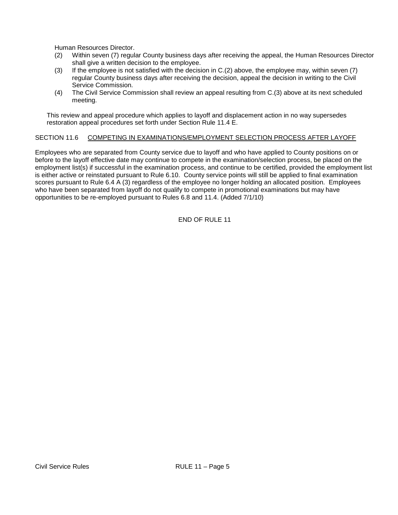Human Resources Director.

- (2) Within seven (7) regular County business days after receiving the appeal, the Human Resources Director shall give a written decision to the employee.
- (3) If the employee is not satisfied with the decision in C.(2) above, the employee may, within seven (7) regular County business days after receiving the decision, appeal the decision in writing to the Civil Service Commission.
- (4) The Civil Service Commission shall review an appeal resulting from C.(3) above at its next scheduled meeting.

This review and appeal procedure which applies to layoff and displacement action in no way supersedes restoration appeal procedures set forth under Section Rule 11.4 E.

# SECTION 11.6 COMPETING IN EXAMINATIONS/EMPLOYMENT SELECTION PROCESS AFTER LAYOFF

Employees who are separated from County service due to layoff and who have applied to County positions on or before to the layoff effective date may continue to compete in the examination/selection process, be placed on the employment list(s) if successful in the examination process, and continue to be certified, provided the employment list is either active or reinstated pursuant to Rule 6.10. County service points will still be applied to final examination scores pursuant to Rule 6.4 A (3) regardless of the employee no longer holding an allocated position. Employees who have been separated from layoff do not qualify to compete in promotional examinations but may have opportunities to be re-employed pursuant to Rules 6.8 and 11.4. (Added 7/1/10)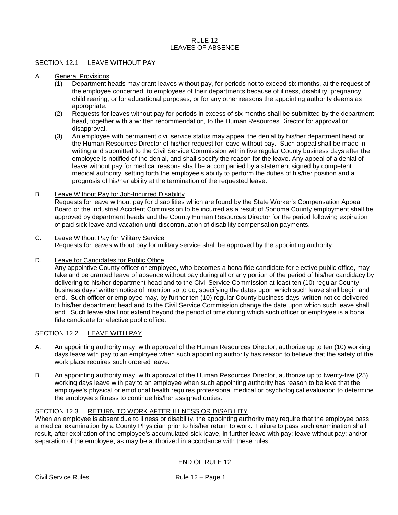# $R$ ULE 12 LEAVES OF ABSENCE

# SECTION 12.1 LEAVE WITHOUT PAY

### A. General Provisions

- (1) Department heads may grant leaves without pay, for periods not to exceed six months, at the request of the employee concerned, to employees of their departments because of illness, disability, pregnancy, child rearing, or for educational purposes; or for any other reasons the appointing authority deems as appropriate.
- (2) Requests for leaves without pay for periods in excess of six months shall be submitted by the department head, together with a written recommendation, to the Human Resources Director for approval or disapproval.
- (3) An employee with permanent civil service status may appeal the denial by his/her department head or the Human Resources Director of his/her request for leave without pay. Such appeal shall be made in writing and submitted to the Civil Service Commission within five regular County business days after the employee is notified of the denial, and shall specify the reason for the leave. Any appeal of a denial of leave without pay for medical reasons shall be accompanied by a statement signed by competent medical authority, setting forth the employee's ability to perform the duties of his/her position and a prognosis of his/her ability at the termination of the requested leave.
- B. Leave Without Pay for Job-Incurred Disability

Requests for leave without pay for disabilities which are found by the State Worker's Compensation Appeal Board or the Industrial Accident Commission to be incurred as a result of Sonoma County employment shall be approved by department heads and the County Human Resources Director for the period following expiration of paid sick leave and vacation until discontinuation of disability compensation payments.

- C. Leave Without Pay for Military Service Requests for leaves without pay for military service shall be approved by the appointing authority.
- D. Leave for Candidates for Public Office

Any appointive County officer or employee, who becomes a bona fide candidate for elective public office, may take and be granted leave of absence without pay during all or any portion of the period of his/her candidacy by delivering to his/her department head and to the Civil Service Commission at least ten (10) regular County business days' written notice of intention so to do, specifying the dates upon which such leave shall begin and end. Such officer or employee may, by further ten (10) regular County business days' written notice delivered to his/her department head and to the Civil Service Commission change the date upon which such leave shall end. Such leave shall not extend beyond the period of time during which such officer or employee is a bona fide candidate for elective public office.

# SECTION 12.2 LEAVE WITH PAY

- A. An appointing authority may, with approval of the Human Resources Director, authorize up to ten (10) working days leave with pay to an employee when such appointing authority has reason to believe that the safety of the work place requires such ordered leave.
- B. An appointing authority may, with approval of the Human Resources Director, authorize up to twenty-five (25) working days leave with pay to an employee when such appointing authority has reason to believe that the employee's physical or emotional health requires professional medical or psychological evaluation to determine the employee's fitness to continue his/her assigned duties.

# SECTION 12.3 RETURN TO WORK AFTER ILLNESS OR DISABILITY

When an employee is absent due to illness or disability, the appointing authority may require that the employee pass a medical examination by a County Physician prior to his/her return to work. Failure to pass such examination shall result, after expiration of the employee's accumulated sick leave, in further leave with pay; leave without pay; and/or separation of the employee, as may be authorized in accordance with these rules.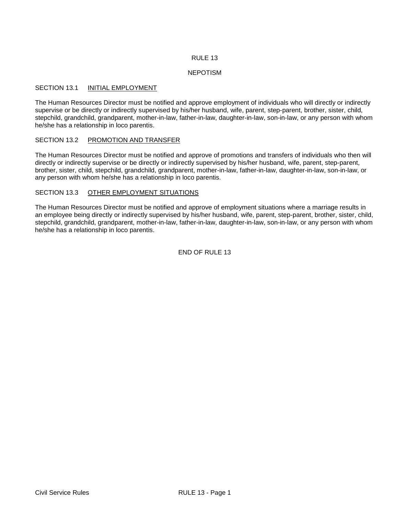#### NEPOTISM

### SECTION 13.1 **INITIAL EMPLOYMENT**

The Human Resources Director must be notified and approve employment of individuals who will directly or indirectly supervise or be directly or indirectly supervised by his/her husband, wife, parent, step-parent, brother, sister, child, stepchild, grandchild, grandparent, mother-in-law, father-in-law, daughter-in-law, son-in-law, or any person with whom he/she has a relationship in loco parentis.

#### SECTION 13.2 PROMOTION AND TRANSFER

The Human Resources Director must be notified and approve of promotions and transfers of individuals who then will directly or indirectly supervise or be directly or indirectly supervised by his/her husband, wife, parent, step-parent, brother, sister, child, stepchild, grandchild, grandparent, mother-in-law, father-in-law, daughter-in-law, son-in-law, or any person with whom he/she has a relationship in loco parentis.

# SECTION 13.3 OTHER EMPLOYMENT SITUATIONS

The Human Resources Director must be notified and approve of employment situations where a marriage results in an employee being directly or indirectly supervised by his/her husband, wife, parent, step-parent, brother, sister, child, stepchild, grandchild, grandparent, mother-in-law, father-in-law, daughter-in-law, son-in-law, or any person with whom he/she has a relationship in loco parentis.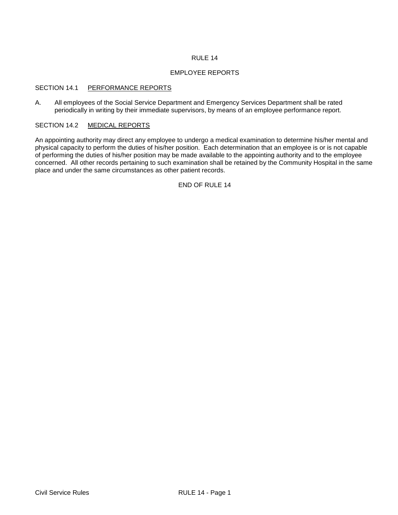## EMPLOYEE REPORTS

#### SECTION 14.1 PERFORMANCE REPORTS

A. All employees of the Social Service Department and Emergency Services Department shall be rated periodically in writing by their immediate supervisors, by means of an employee performance report.

# SECTION 14.2 MEDICAL REPORTS

An appointing authority may direct any employee to undergo a medical examination to determine his/her mental and physical capacity to perform the duties of his/her position. Each determination that an employee is or is not capable of performing the duties of his/her position may be made available to the appointing authority and to the employee concerned. All other records pertaining to such examination shall be retained by the Community Hospital in the same place and under the same circumstances as other patient records.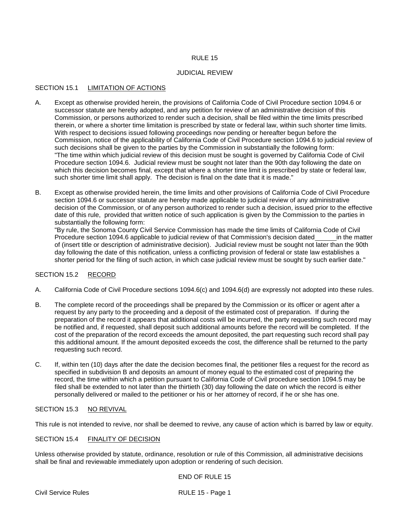# JUDICIAL REVIEW

# SECTION 15.1 LIMITATION OF ACTIONS

- A. Except as otherwise provided herein, the provisions of California Code of Civil Procedure section 1094.6 or successor statute are hereby adopted, and any petition for review of an administrative decision of this Commission, or persons authorized to render such a decision, shall be filed within the time limits prescribed therein, or where a shorter time limitation is prescribed by state or federal law, within such shorter time limits. With respect to decisions issued following proceedings now pending or hereafter begun before the Commission, notice of the applicability of California Code of Civil Procedure section 1094.6 to judicial review of such decisions shall be given to the parties by the Commission in substantially the following form: "The time within which judicial review of this decision must be sought is governed by California Code of Civil Procedure section 1094.6. Judicial review must be sought not later than the 90th day following the date on which this decision becomes final, except that where a shorter time limit is prescribed by state or federal law, such shorter time limit shall apply. The decision is final on the date that it is made."
- B. Except as otherwise provided herein, the time limits and other provisions of California Code of Civil Procedure section 1094.6 or successor statute are hereby made applicable to judicial review of any administrative decision of the Commission, or of any person authorized to render such a decision, issued prior to the effective date of this rule, provided that written notice of such application is given by the Commission to the parties in substantially the following form:

"By rule, the Sonoma County Civil Service Commission has made the time limits of California Code of Civil Procedure section 1094.6 applicable to judicial review of that Commission's decision dated in the matter of (insert title or description of administrative decision). Judicial review must be sought not later than the 90th day following the date of this notification, unless a conflicting provision of federal or state law establishes a shorter period for the filing of such action, in which case judicial review must be sought by such earlier date."

# SECTION 15.2 RECORD

- A. California Code of Civil Procedure sections 1094.6(c) and 1094.6(d) are expressly not adopted into these rules.
- B. The complete record of the proceedings shall be prepared by the Commission or its officer or agent after a request by any party to the proceeding and a deposit of the estimated cost of preparation. If during the preparation of the record it appears that additional costs will be incurred, the party requesting such record may be notified and, if requested, shall deposit such additional amounts before the record will be completed. If the cost of the preparation of the record exceeds the amount deposited, the part requesting such record shall pay this additional amount. If the amount deposited exceeds the cost, the difference shall be returned to the party requesting such record.
- C. If, within ten (10) days after the date the decision becomes final, the petitioner files a request for the record as specified in subdivision B and deposits an amount of money equal to the estimated cost of preparing the record, the time within which a petition pursuant to California Code of Civil procedure section 1094.5 may be filed shall be extended to not later than the thirtieth (30) day following the date on which the record is either personally delivered or mailed to the petitioner or his or her attorney of record, if he or she has one.

# SECTION 15.3 NO REVIVAL

This rule is not intended to revive, nor shall be deemed to revive, any cause of action which is barred by law or equity.

# SECTION 15.4 FINALITY OF DECISION

Unless otherwise provided by statute, ordinance, resolution or rule of this Commission, all administrative decisions shall be final and reviewable immediately upon adoption or rendering of such decision.